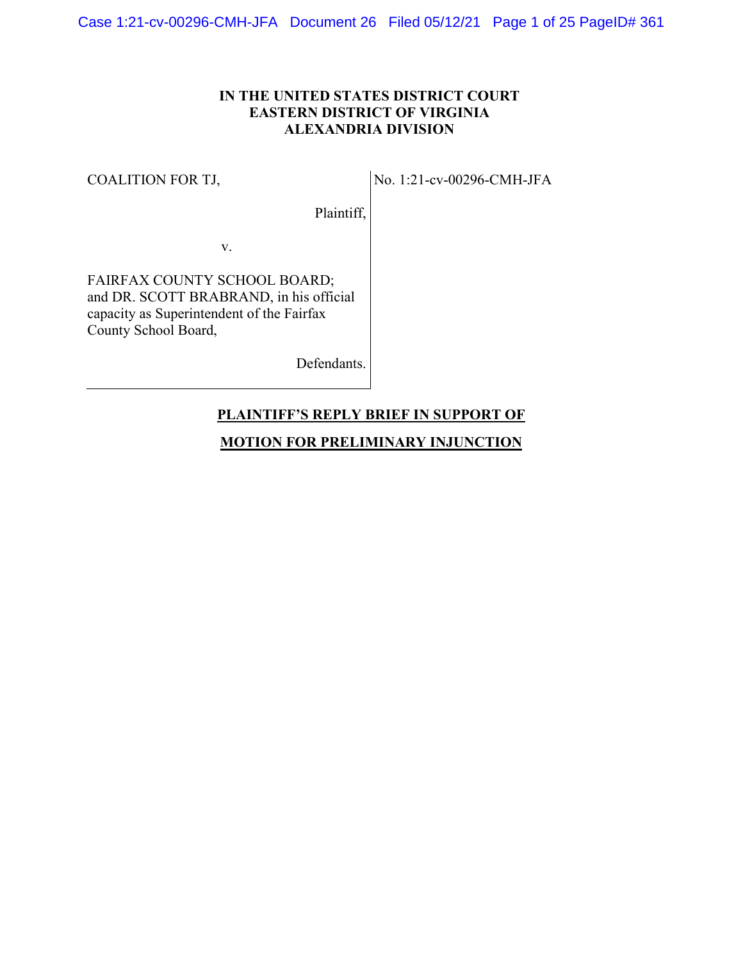# **IN THE UNITED STATES DISTRICT COURT EASTERN DISTRICT OF VIRGINIA ALEXANDRIA DIVISION**

### COALITION FOR TJ,

No. 1:21-cv-00296-CMH-JFA

Plaintiff,

v.

FAIRFAX COUNTY SCHOOL BOARD; and DR. SCOTT BRABRAND, in his official capacity as Superintendent of the Fairfax County School Board,

Defendants.

# **PLAINTIFF'S REPLY BRIEF IN SUPPORT OF**

# **MOTION FOR PRELIMINARY INJUNCTION**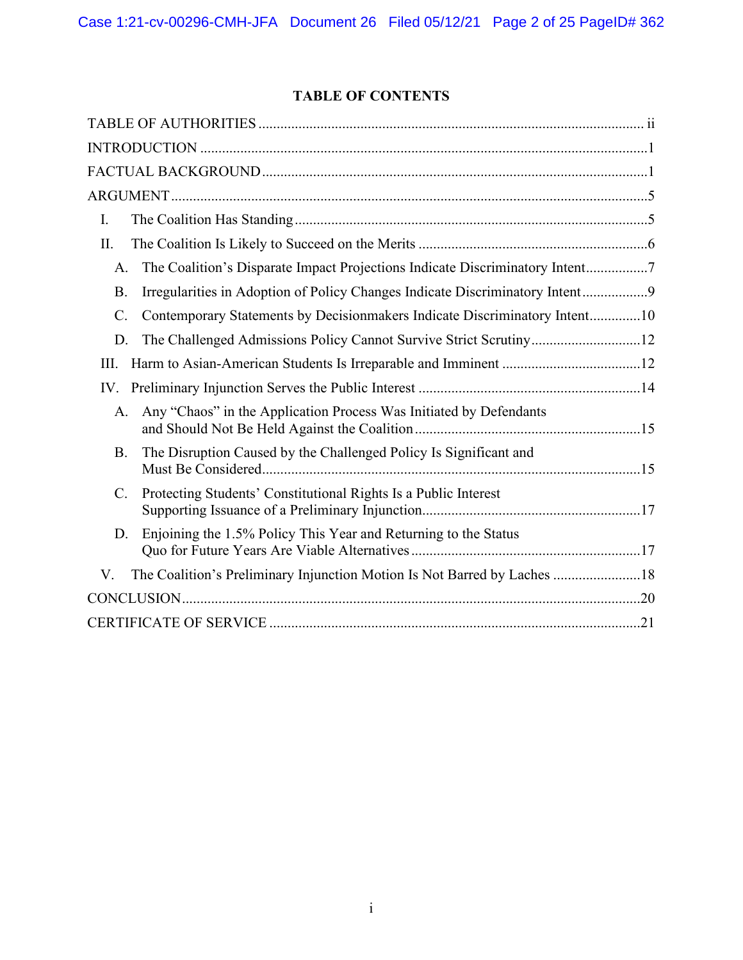# **TABLE OF CONTENTS**

| I.                                                                                            |
|-----------------------------------------------------------------------------------------------|
| II.                                                                                           |
| The Coalition's Disparate Impact Projections Indicate Discriminatory Intent7<br>A.            |
| Irregularities in Adoption of Policy Changes Indicate Discriminatory Intent9<br><b>B.</b>     |
| Contemporary Statements by Decisionmakers Indicate Discriminatory Intent10<br>$\mathcal{C}$ . |
| The Challenged Admissions Policy Cannot Survive Strict Scrutiny12<br>D.                       |
| III.                                                                                          |
| IV.                                                                                           |
| Any "Chaos" in the Application Process Was Initiated by Defendants<br>A.                      |
| The Disruption Caused by the Challenged Policy Is Significant and<br><b>B.</b>                |
| $C$ .<br>Protecting Students' Constitutional Rights Is a Public Interest                      |
| Enjoining the 1.5% Policy This Year and Returning to the Status<br>D.                         |
| The Coalition's Preliminary Injunction Motion Is Not Barred by Laches 18<br>V.                |
|                                                                                               |
|                                                                                               |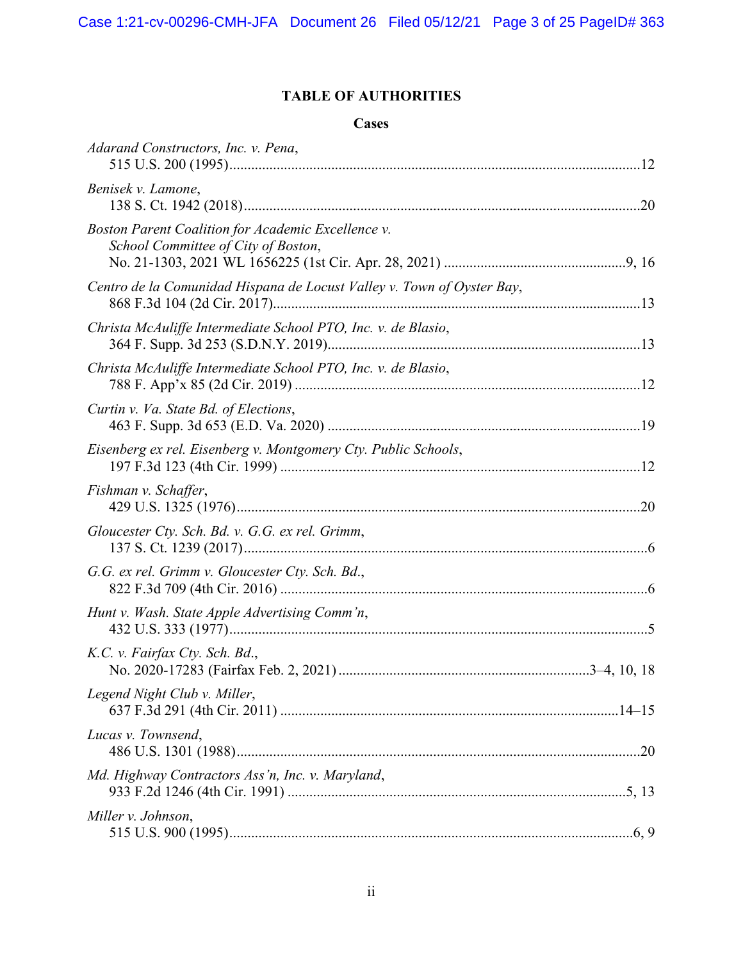# **TABLE OF AUTHORITIES**

# **Cases**

| Adarand Constructors, Inc. v. Pena,                                                       |
|-------------------------------------------------------------------------------------------|
| Benisek v. Lamone,                                                                        |
| Boston Parent Coalition for Academic Excellence v.<br>School Committee of City of Boston, |
| Centro de la Comunidad Hispana de Locust Valley v. Town of Oyster Bay,                    |
| Christa McAuliffe Intermediate School PTO, Inc. v. de Blasio,                             |
| Christa McAuliffe Intermediate School PTO, Inc. v. de Blasio,                             |
| Curtin v. Va. State Bd. of Elections,                                                     |
| Eisenberg ex rel. Eisenberg v. Montgomery Cty. Public Schools,                            |
| Fishman v. Schaffer,                                                                      |
| Gloucester Cty. Sch. Bd. v. G.G. ex rel. Grimm,                                           |
| G.G. ex rel. Grimm v. Gloucester Cty. Sch. Bd.,                                           |
| Hunt v. Wash. State Apple Advertising Comm'n,                                             |
| K.C. v. Fairfax Cty. Sch. Bd.,                                                            |
| Legend Night Club v. Miller,                                                              |
| Lucas v. Townsend,                                                                        |
| Md. Highway Contractors Ass'n, Inc. v. Maryland,                                          |
| Miller v. Johnson,                                                                        |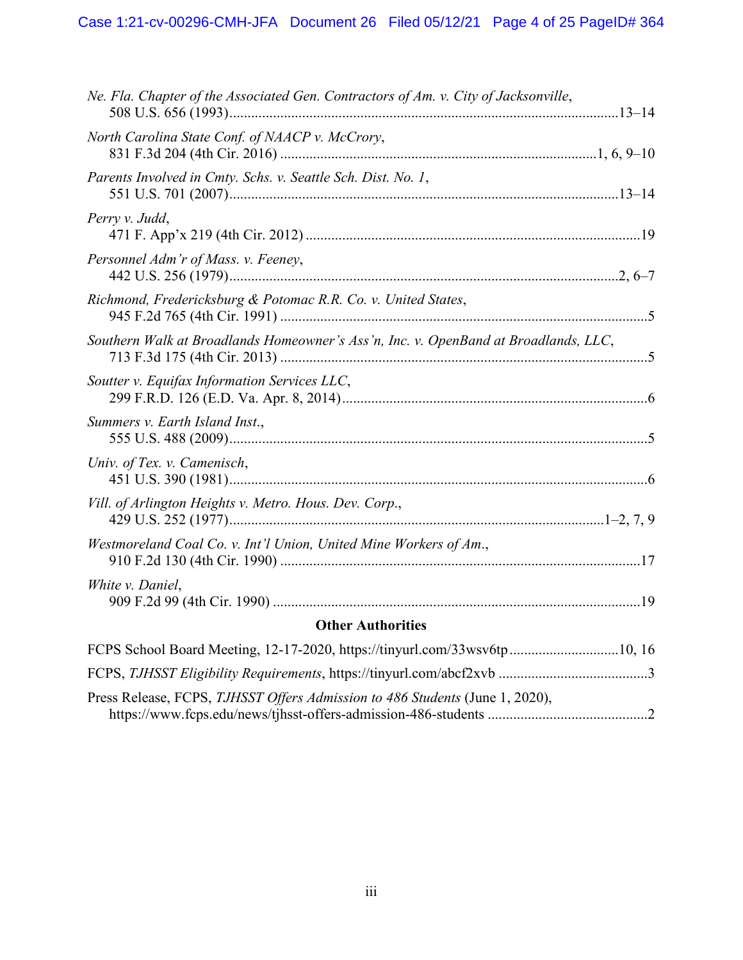| Ne. Fla. Chapter of the Associated Gen. Contractors of Am. v. City of Jacksonville, |
|-------------------------------------------------------------------------------------|
| North Carolina State Conf. of NAACP v. McCrory,                                     |
| Parents Involved in Cmty. Schs. v. Seattle Sch. Dist. No. 1,                        |
| Perry v. Judd,                                                                      |
| Personnel Adm'r of Mass. v. Feeney,                                                 |
| Richmond, Fredericksburg & Potomac R.R. Co. v. United States,                       |
| Southern Walk at Broadlands Homeowner's Ass'n, Inc. v. OpenBand at Broadlands, LLC, |
| Soutter v. Equifax Information Services LLC,                                        |
| Summers v. Earth Island Inst.,                                                      |
| Univ. of Tex. v. Camenisch,                                                         |
| Vill. of Arlington Heights v. Metro. Hous. Dev. Corp.,                              |
| Westmoreland Coal Co. v. Int'l Union, United Mine Workers of Am.,                   |
| White v. Daniel,                                                                    |
| <b>Other Authorities</b>                                                            |
| FCPS School Board Meeting, 12-17-2020, https://tinyurl.com/33wsv6tp10, 16           |
|                                                                                     |
| Press Release, FCPS, TJHSST Offers Admission to 486 Students (June 1, 2020),        |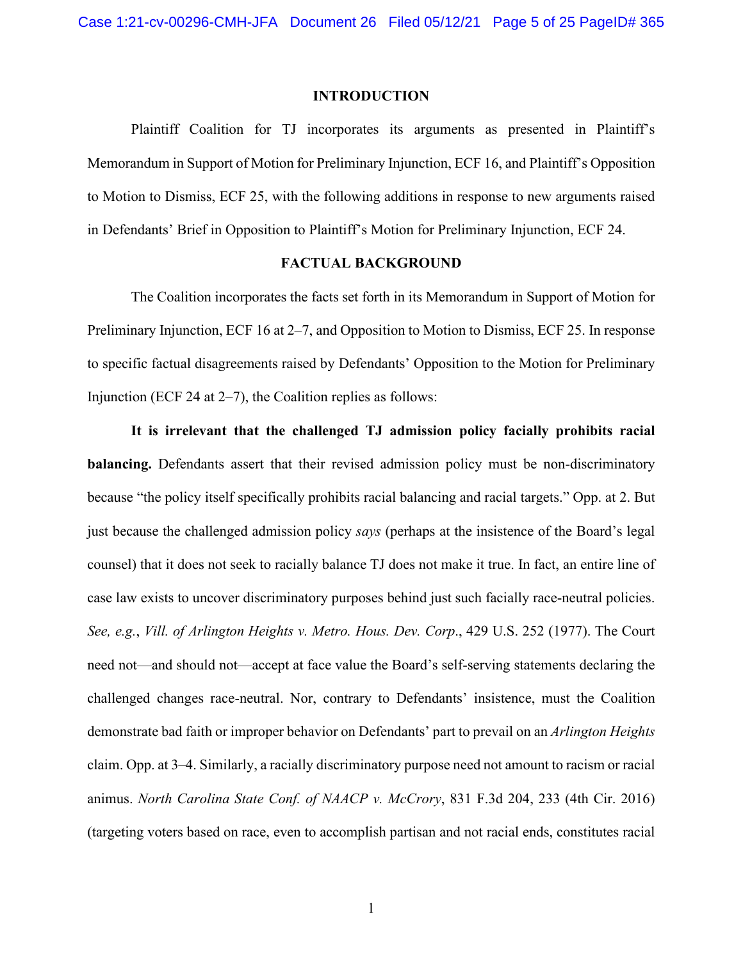#### **INTRODUCTION**

Plaintiff Coalition for TJ incorporates its arguments as presented in Plaintiff's Memorandum in Support of Motion for Preliminary Injunction, ECF 16, and Plaintiff's Opposition to Motion to Dismiss, ECF 25, with the following additions in response to new arguments raised in Defendants' Brief in Opposition to Plaintiff's Motion for Preliminary Injunction, ECF 24.

#### **FACTUAL BACKGROUND**

The Coalition incorporates the facts set forth in its Memorandum in Support of Motion for Preliminary Injunction, ECF 16 at 2–7, and Opposition to Motion to Dismiss, ECF 25. In response to specific factual disagreements raised by Defendants' Opposition to the Motion for Preliminary Injunction (ECF 24 at 2–7), the Coalition replies as follows:

<span id="page-4-1"></span><span id="page-4-0"></span>**It is irrelevant that the challenged TJ admission policy facially prohibits racial balancing.** Defendants assert that their revised admission policy must be non-discriminatory because "the policy itself specifically prohibits racial balancing and racial targets." Opp. at 2. But just because the challenged admission policy *says* (perhaps at the insistence of the Board's legal counsel) that it does not seek to racially balance TJ does not make it true. In fact, an entire line of case law exists to uncover discriminatory purposes behind just such facially race-neutral policies. *See, e.g.*, *Vill. of Arlington Heights v. Metro. Hous. Dev. Corp*., 429 U.S. 252 (1977). The Court need not—and should not—accept at face value the Board's self-serving statements declaring the challenged changes race-neutral. Nor, contrary to Defendants' insistence, must the Coalition demonstrate bad faith or improper behavior on Defendants' part to prevail on an *Arlington Heights* claim. Opp. at 3–4. Similarly, a racially discriminatory purpose need not amount to racism or racial animus. *North Carolina State Conf. of NAACP v. McCrory*, 831 F.3d 204, 233 (4th Cir. 2016) (targeting voters based on race, even to accomplish partisan and not racial ends, constitutes racial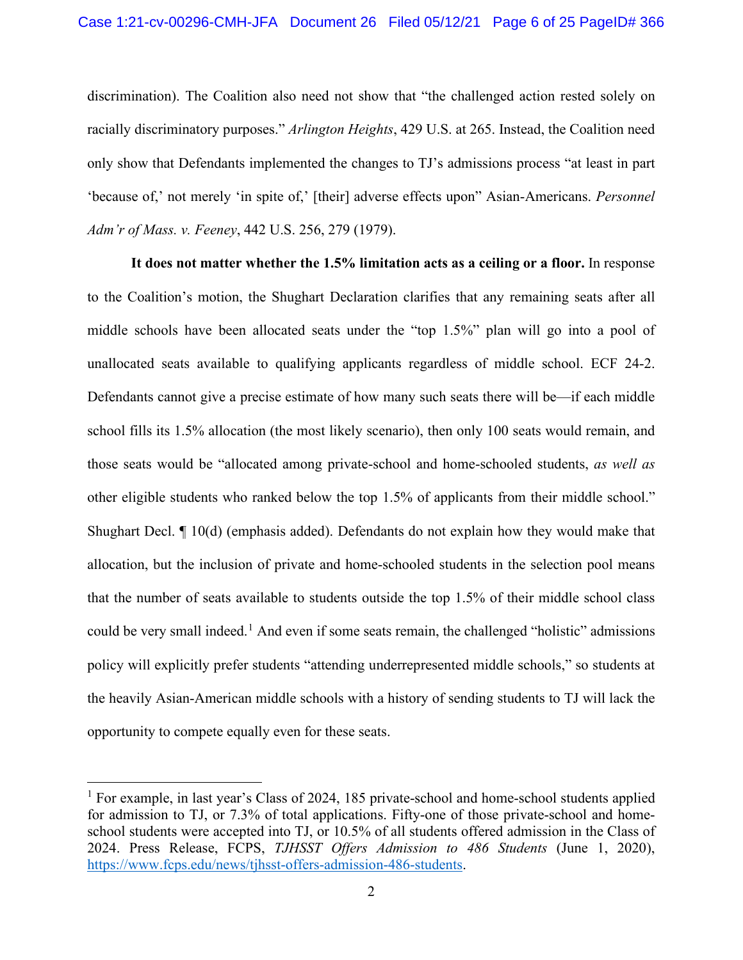<span id="page-5-1"></span>discrimination). The Coalition also need not show that "the challenged action rested solely on racially discriminatory purposes." *Arlington Heights*, 429 U.S. at 265. Instead, the Coalition need only show that Defendants implemented the changes to TJ's admissions process "at least in part 'because of,' not merely 'in spite of,' [their] adverse effects upon" Asian-Americans. *Personnel Adm'r of Mass. v. Feeney*, 442 U.S. 256, 279 (1979).

<span id="page-5-0"></span>**It does not matter whether the 1.5% limitation acts as a ceiling or a floor.** In response to the Coalition's motion, the Shughart Declaration clarifies that any remaining seats after all middle schools have been allocated seats under the "top 1.5%" plan will go into a pool of unallocated seats available to qualifying applicants regardless of middle school. ECF 24-2. Defendants cannot give a precise estimate of how many such seats there will be—if each middle school fills its 1.5% allocation (the most likely scenario), then only 100 seats would remain, and those seats would be "allocated among private-school and home-schooled students, *as well as* other eligible students who ranked below the top 1.5% of applicants from their middle school." Shughart Decl. ¶ 10(d) (emphasis added). Defendants do not explain how they would make that allocation, but the inclusion of private and home-schooled students in the selection pool means that the number of seats available to students outside the top 1.5% of their middle school class could be very small indeed.<sup>[1](#page-5-3)</sup> And even if some seats remain, the challenged "holistic" admissions policy will explicitly prefer students "attending underrepresented middle schools," so students at the heavily Asian-American middle schools with a history of sending students to TJ will lack the opportunity to compete equally even for these seats.

<span id="page-5-3"></span><span id="page-5-2"></span><sup>&</sup>lt;sup>1</sup> For example, in last year's Class of 2024, 185 private-school and home-school students applied for admission to TJ, or 7.3% of total applications. Fifty-one of those private-school and homeschool students were accepted into TJ, or 10.5% of all students offered admission in the Class of 2024. Press Release, FCPS, *TJHSST Offers Admission to 486 Students* (June 1, 2020), [https://www.fcps.edu/news/tjhsst-offers-admission-486-students.](https://www.fcps.edu/news/tjhsst-offers-admission-486-students)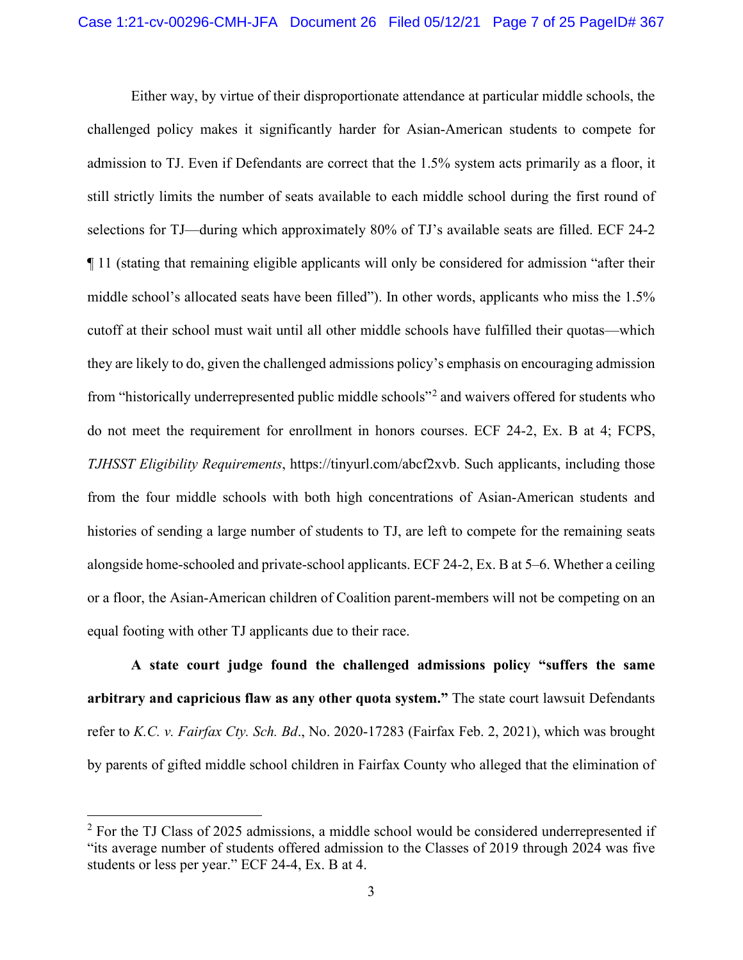Either way, by virtue of their disproportionate attendance at particular middle schools, the challenged policy makes it significantly harder for Asian-American students to compete for admission to TJ. Even if Defendants are correct that the 1.5% system acts primarily as a floor, it still strictly limits the number of seats available to each middle school during the first round of selections for TJ—during which approximately 80% of TJ's available seats are filled. ECF 24-2 ¶ 11 (stating that remaining eligible applicants will only be considered for admission "after their middle school's allocated seats have been filled"). In other words, applicants who miss the 1.5% cutoff at their school must wait until all other middle schools have fulfilled their quotas—which they are likely to do, given the challenged admissions policy's emphasis on encouraging admission from "historically underrepresented public middle schools"[2](#page-6-2) and waivers offered for students who do not meet the requirement for enrollment in honors courses. ECF 24-2, Ex. B at 4; FCPS, *TJHSST Eligibility Requirements*, https://tinyurl.com/abcf2xvb. Such applicants, including those from the four middle schools with both high concentrations of Asian-American students and histories of sending a large number of students to TJ, are left to compete for the remaining seats alongside home-schooled and private-school applicants. ECF 24-2, Ex. B at 5–6. Whether a ceiling or a floor, the Asian-American children of Coalition parent-members will not be competing on an equal footing with other TJ applicants due to their race.

<span id="page-6-1"></span><span id="page-6-0"></span>**A state court judge found the challenged admissions policy "suffers the same arbitrary and capricious flaw as any other quota system."** The state court lawsuit Defendants refer to *K.C. v. Fairfax Cty. Sch. Bd*., No. 2020-17283 (Fairfax Feb. 2, 2021), which was brought by parents of gifted middle school children in Fairfax County who alleged that the elimination of

<span id="page-6-2"></span> $2$  For the TJ Class of 2025 admissions, a middle school would be considered underrepresented if "its average number of students offered admission to the Classes of 2019 through 2024 was five students or less per year." ECF 24-4, Ex. B at 4.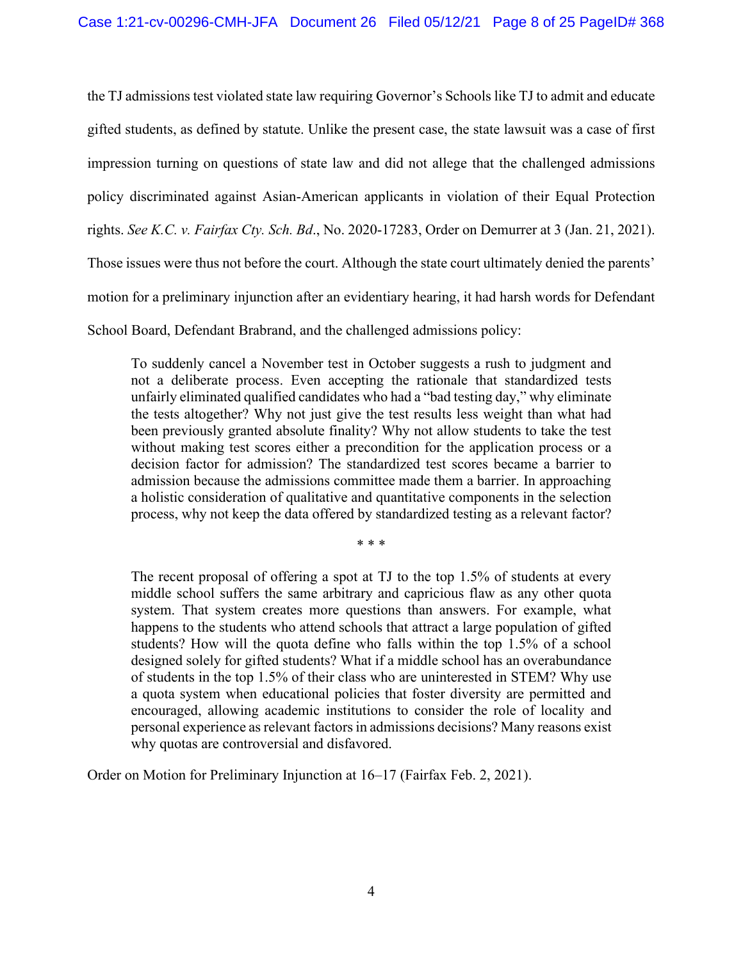the TJ admissions test violated state law requiring Governor's Schools like TJ to admit and educate gifted students, as defined by statute. Unlike the present case, the state lawsuit was a case of first impression turning on questions of state law and did not allege that the challenged admissions policy discriminated against Asian-American applicants in violation of their Equal Protection rights. *See K.C. v. Fairfax Cty. Sch. Bd*., No. 2020-17283, Order on Demurrer at 3 (Jan. 21, 2021). Those issues were thus not before the court. Although the state court ultimately denied the parents' motion for a preliminary injunction after an evidentiary hearing, it had harsh words for Defendant School Board, Defendant Brabrand, and the challenged admissions policy:

<span id="page-7-0"></span>To suddenly cancel a November test in October suggests a rush to judgment and not a deliberate process. Even accepting the rationale that standardized tests unfairly eliminated qualified candidates who had a "bad testing day," why eliminate the tests altogether? Why not just give the test results less weight than what had been previously granted absolute finality? Why not allow students to take the test without making test scores either a precondition for the application process or a decision factor for admission? The standardized test scores became a barrier to admission because the admissions committee made them a barrier. In approaching a holistic consideration of qualitative and quantitative components in the selection process, why not keep the data offered by standardized testing as a relevant factor?

\* \* \*

The recent proposal of offering a spot at TJ to the top 1.5% of students at every middle school suffers the same arbitrary and capricious flaw as any other quota system. That system creates more questions than answers. For example, what happens to the students who attend schools that attract a large population of gifted students? How will the quota define who falls within the top 1.5% of a school designed solely for gifted students? What if a middle school has an overabundance of students in the top 1.5% of their class who are uninterested in STEM? Why use a quota system when educational policies that foster diversity are permitted and encouraged, allowing academic institutions to consider the role of locality and personal experience as relevant factors in admissions decisions? Many reasons exist why quotas are controversial and disfavored.

Order on Motion for Preliminary Injunction at 16–17 (Fairfax Feb. 2, 2021).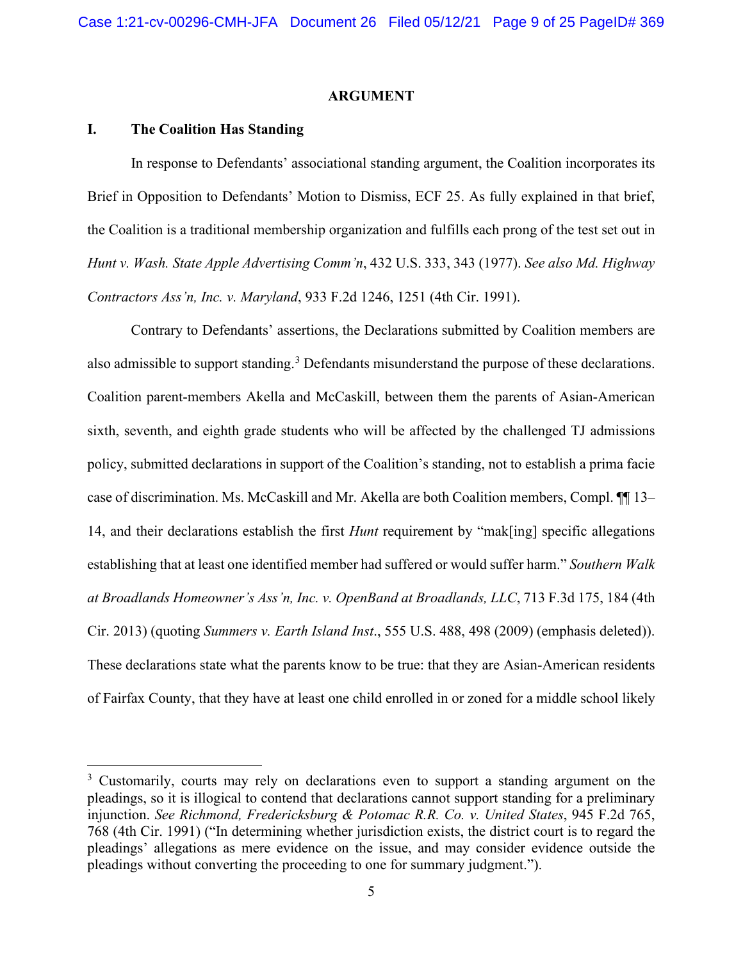#### <span id="page-8-3"></span><span id="page-8-1"></span>**ARGUMENT**

#### **I. The Coalition Has Standing**

In response to Defendants' associational standing argument, the Coalition incorporates its Brief in Opposition to Defendants' Motion to Dismiss, ECF 25. As fully explained in that brief, the Coalition is a traditional membership organization and fulfills each prong of the test set out in *Hunt v. Wash. State Apple Advertising Comm'n*, 432 U.S. 333, 343 (1977). *See also Md. Highway Contractors Ass'n, Inc. v. Maryland*, 933 F.2d 1246, 1251 (4th Cir. 1991).

<span id="page-8-0"></span>Contrary to Defendants' assertions, the Declarations submitted by Coalition members are also admissible to support standing.<sup>[3](#page-8-5)</sup> Defendants misunderstand the purpose of these declarations. Coalition parent-members Akella and McCaskill, between them the parents of Asian-American sixth, seventh, and eighth grade students who will be affected by the challenged TJ admissions policy, submitted declarations in support of the Coalition's standing, not to establish a prima facie case of discrimination. Ms. McCaskill and Mr. Akella are both Coalition members, Compl. ¶¶ 13– 14, and their declarations establish the first *Hunt* requirement by "mak[ing] specific allegations establishing that at least one identified member had suffered or would suffer harm." *Southern Walk at Broadlands Homeowner's Ass'n, Inc. v. OpenBand at Broadlands, LLC*, 713 F.3d 175, 184 (4th Cir. 2013) (quoting *Summers v. Earth Island Inst*., 555 U.S. 488, 498 (2009) (emphasis deleted)). These declarations state what the parents know to be true: that they are Asian-American residents of Fairfax County, that they have at least one child enrolled in or zoned for a middle school likely

<span id="page-8-5"></span><span id="page-8-4"></span><span id="page-8-2"></span><sup>&</sup>lt;sup>3</sup> Customarily, courts may rely on declarations even to support a standing argument on the pleadings, so it is illogical to contend that declarations cannot support standing for a preliminary injunction. *See Richmond, Fredericksburg & Potomac R.R. Co. v. United States*, 945 F.2d 765, 768 (4th Cir. 1991) ("In determining whether jurisdiction exists, the district court is to regard the pleadings' allegations as mere evidence on the issue, and may consider evidence outside the pleadings without converting the proceeding to one for summary judgment.").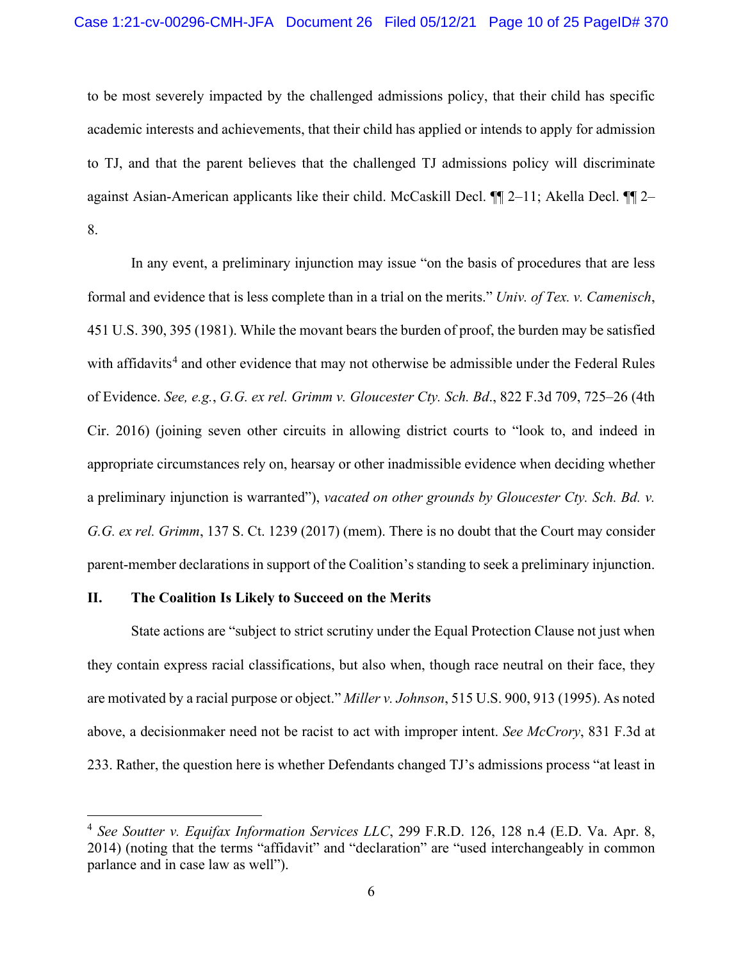to be most severely impacted by the challenged admissions policy, that their child has specific academic interests and achievements, that their child has applied or intends to apply for admission to TJ, and that the parent believes that the challenged TJ admissions policy will discriminate against Asian-American applicants like their child. McCaskill Decl. ¶¶ 2–11; Akella Decl. ¶¶ 2– 8.

<span id="page-9-4"></span><span id="page-9-0"></span>In any event, a preliminary injunction may issue "on the basis of procedures that are less formal and evidence that is less complete than in a trial on the merits." *Univ. of Tex. v. Camenisch*, 451 U.S. 390, 395 (1981). While the movant bears the burden of proof, the burden may be satisfied with affidavits<sup>[4](#page-9-5)</sup> and other evidence that may not otherwise be admissible under the Federal Rules of Evidence. *See, e.g.*, *G.G. ex rel. Grimm v. Gloucester Cty. Sch. Bd*., 822 F.3d 709, 725–26 (4th Cir. 2016) (joining seven other circuits in allowing district courts to "look to, and indeed in appropriate circumstances rely on, hearsay or other inadmissible evidence when deciding whether a preliminary injunction is warranted"), *vacated on other grounds by Gloucester Cty. Sch. Bd. v. G.G. ex rel. Grimm*, 137 S. Ct. 1239 (2017) (mem). There is no doubt that the Court may consider parent-member declarations in support of the Coalition's standing to seek a preliminary injunction.

#### **II. The Coalition Is Likely to Succeed on the Merits**

<span id="page-9-2"></span><span id="page-9-1"></span>State actions are "subject to strict scrutiny under the Equal Protection Clause not just when they contain express racial classifications, but also when, though race neutral on their face, they are motivated by a racial purpose or object." *Miller v. Johnson*, 515 U.S. 900, 913 (1995). As noted above, a decisionmaker need not be racist to act with improper intent. *See McCrory*, 831 F.3d at 233. Rather, the question here is whether Defendants changed TJ's admissions process "at least in

<span id="page-9-5"></span><span id="page-9-3"></span><sup>4</sup> *See Soutter v. Equifax Information Services LLC*, 299 F.R.D. 126, 128 n.4 (E.D. Va. Apr. 8, 2014) (noting that the terms "affidavit" and "declaration" are "used interchangeably in common parlance and in case law as well").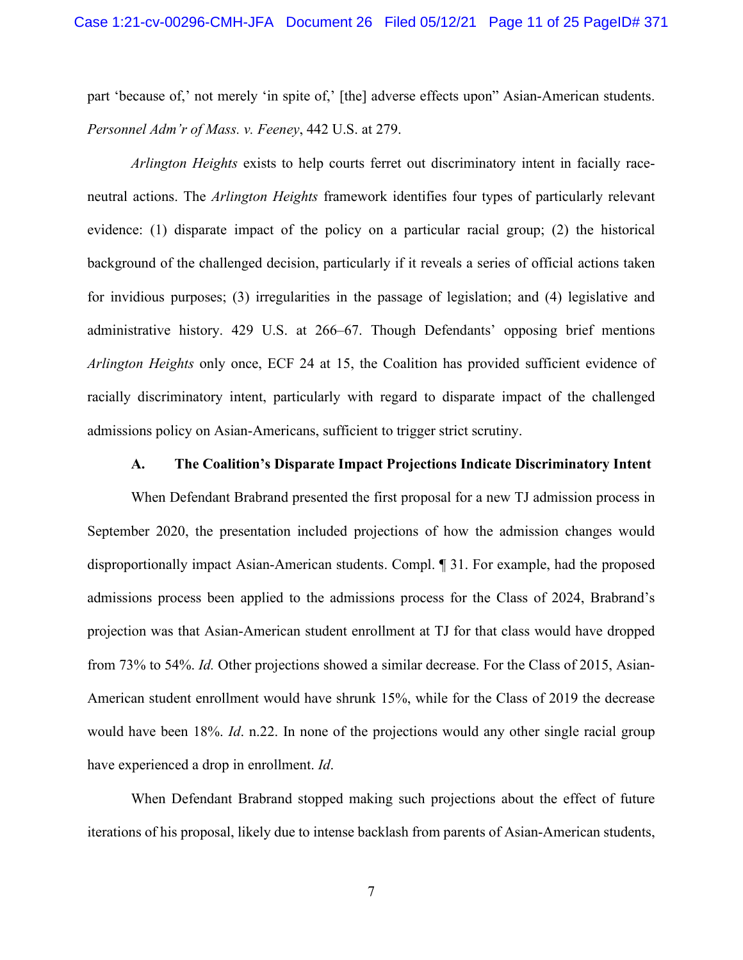<span id="page-10-0"></span>part 'because of,' not merely 'in spite of,' [the] adverse effects upon" Asian-American students. *Personnel Adm'r of Mass. v. Feeney*, 442 U.S. at 279.

<span id="page-10-1"></span>*Arlington Heights* exists to help courts ferret out discriminatory intent in facially raceneutral actions. The *Arlington Heights* framework identifies four types of particularly relevant evidence: (1) disparate impact of the policy on a particular racial group; (2) the historical background of the challenged decision, particularly if it reveals a series of official actions taken for invidious purposes; (3) irregularities in the passage of legislation; and (4) legislative and administrative history. 429 U.S. at 266–67. Though Defendants' opposing brief mentions *Arlington Heights* only once, ECF 24 at 15, the Coalition has provided sufficient evidence of racially discriminatory intent, particularly with regard to disparate impact of the challenged admissions policy on Asian-Americans, sufficient to trigger strict scrutiny.

#### **A. The Coalition's Disparate Impact Projections Indicate Discriminatory Intent**

When Defendant Brabrand presented the first proposal for a new TJ admission process in September 2020, the presentation included projections of how the admission changes would disproportionally impact Asian-American students. Compl. ¶ 31. For example, had the proposed admissions process been applied to the admissions process for the Class of 2024, Brabrand's projection was that Asian-American student enrollment at TJ for that class would have dropped from 73% to 54%. *Id.* Other projections showed a similar decrease. For the Class of 2015, Asian-American student enrollment would have shrunk 15%, while for the Class of 2019 the decrease would have been 18%. *Id*. n.22. In none of the projections would any other single racial group have experienced a drop in enrollment. *Id*.

When Defendant Brabrand stopped making such projections about the effect of future iterations of his proposal, likely due to intense backlash from parents of Asian-American students,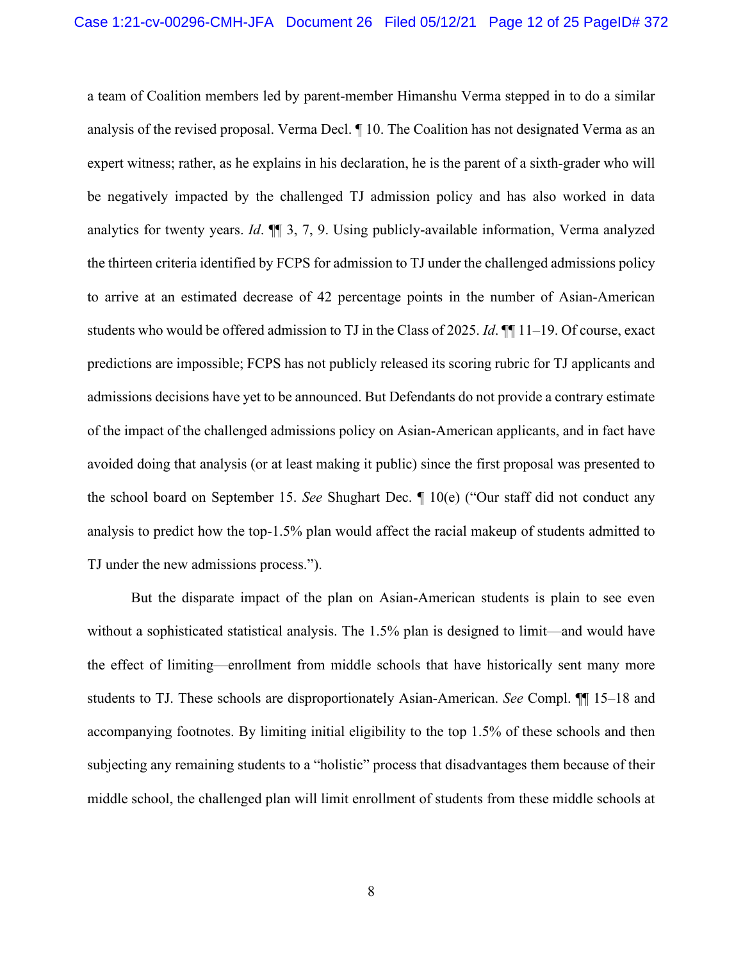a team of Coalition members led by parent-member Himanshu Verma stepped in to do a similar analysis of the revised proposal. Verma Decl. ¶ 10. The Coalition has not designated Verma as an expert witness; rather, as he explains in his declaration, he is the parent of a sixth-grader who will be negatively impacted by the challenged TJ admission policy and has also worked in data analytics for twenty years. *Id*. ¶¶ 3, 7, 9. Using publicly-available information, Verma analyzed the thirteen criteria identified by FCPS for admission to TJ under the challenged admissions policy to arrive at an estimated decrease of 42 percentage points in the number of Asian-American students who would be offered admission to TJ in the Class of 2025. *Id*. ¶¶ 11–19. Of course, exact predictions are impossible; FCPS has not publicly released its scoring rubric for TJ applicants and admissions decisions have yet to be announced. But Defendants do not provide a contrary estimate of the impact of the challenged admissions policy on Asian-American applicants, and in fact have avoided doing that analysis (or at least making it public) since the first proposal was presented to the school board on September 15. *See* Shughart Dec. ¶ 10(e) ("Our staff did not conduct any analysis to predict how the top-1.5% plan would affect the racial makeup of students admitted to TJ under the new admissions process.").

But the disparate impact of the plan on Asian-American students is plain to see even without a sophisticated statistical analysis. The 1.5% plan is designed to limit—and would have the effect of limiting—enrollment from middle schools that have historically sent many more students to TJ. These schools are disproportionately Asian-American. *See* Compl. ¶¶ 15–18 and accompanying footnotes. By limiting initial eligibility to the top 1.5% of these schools and then subjecting any remaining students to a "holistic" process that disadvantages them because of their middle school, the challenged plan will limit enrollment of students from these middle schools at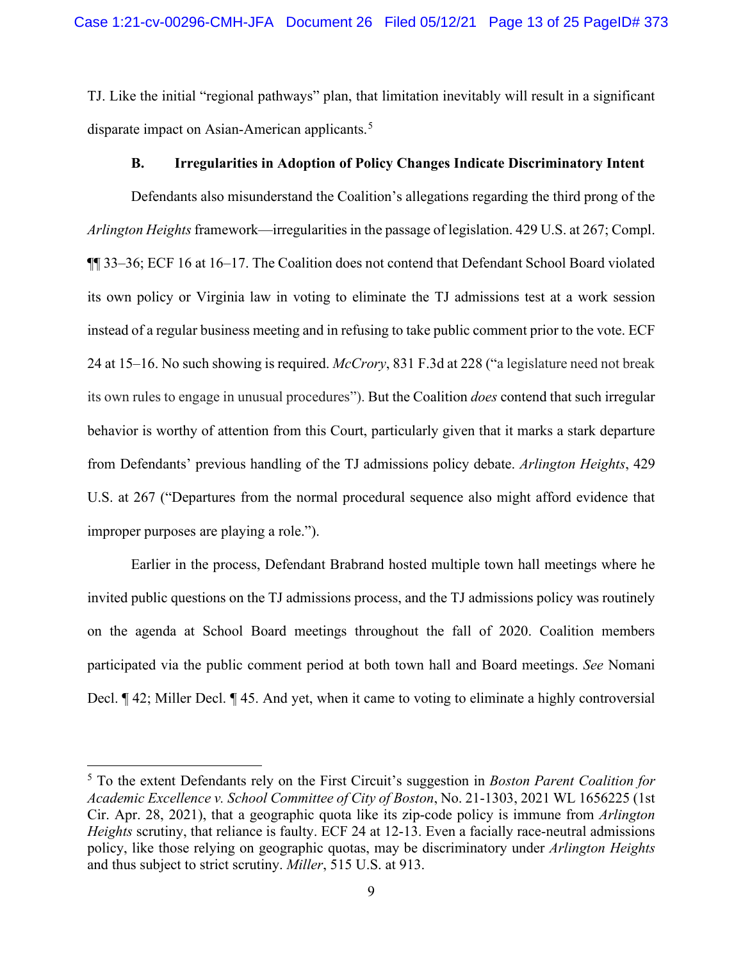TJ. Like the initial "regional pathways" plan, that limitation inevitably will result in a significant disparate impact on Asian-American applicants.<sup>[5](#page-12-4)</sup>

### <span id="page-12-2"></span>**B. Irregularities in Adoption of Policy Changes Indicate Discriminatory Intent**

Defendants also misunderstand the Coalition's allegations regarding the third prong of the *Arlington Heights* framework—irregularities in the passage of legislation. 429 U.S. at 267; Compl. ¶¶ 33–36; ECF 16 at 16–17. The Coalition does not contend that Defendant School Board violated its own policy or Virginia law in voting to eliminate the TJ admissions test at a work session instead of a regular business meeting and in refusing to take public comment prior to the vote. ECF 24 at 15–16. No such showing is required. *McCrory*, 831 F.3d at 228 ("a legislature need not break its own rules to engage in unusual procedures"). But the Coalition *does* contend that such irregular behavior is worthy of attention from this Court, particularly given that it marks a stark departure from Defendants' previous handling of the TJ admissions policy debate. *Arlington Heights*, 429 U.S. at 267 ("Departures from the normal procedural sequence also might afford evidence that improper purposes are playing a role.").

Earlier in the process, Defendant Brabrand hosted multiple town hall meetings where he invited public questions on the TJ admissions process, and the TJ admissions policy was routinely on the agenda at School Board meetings throughout the fall of 2020. Coalition members participated via the public comment period at both town hall and Board meetings. *See* Nomani Decl. ¶ 42; Miller Decl. ¶ 45. And yet, when it came to voting to eliminate a highly controversial

<span id="page-12-4"></span><span id="page-12-3"></span><span id="page-12-1"></span><span id="page-12-0"></span><sup>5</sup> To the extent Defendants rely on the First Circuit's suggestion in *Boston Parent Coalition for Academic Excellence v. School Committee of City of Boston*, No. 21-1303, 2021 WL 1656225 (1st Cir. Apr. 28, 2021), that a geographic quota like its zip-code policy is immune from *Arlington Heights* scrutiny, that reliance is faulty. ECF 24 at 12-13. Even a facially race-neutral admissions policy, like those relying on geographic quotas, may be discriminatory under *Arlington Heights* and thus subject to strict scrutiny. *Miller*, 515 U.S. at 913.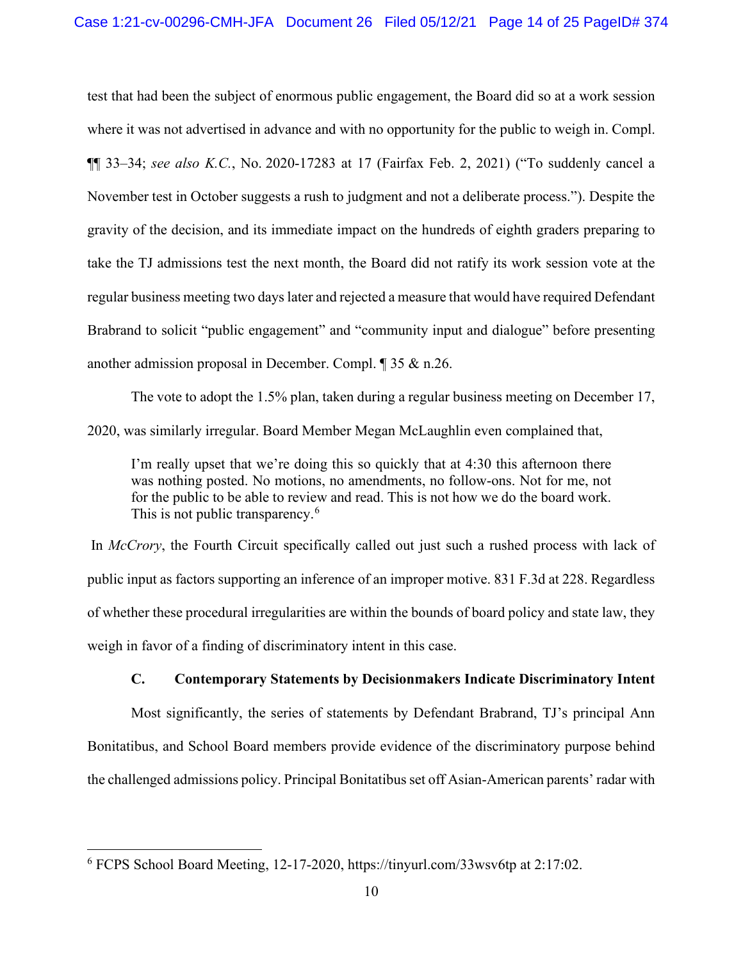<span id="page-13-0"></span>test that had been the subject of enormous public engagement, the Board did so at a work session where it was not advertised in advance and with no opportunity for the public to weigh in. Compl. ¶¶ 33–34; *see also K.C.*, No. 2020-17283 at 17 (Fairfax Feb. 2, 2021) ("To suddenly cancel a November test in October suggests a rush to judgment and not a deliberate process."). Despite the gravity of the decision, and its immediate impact on the hundreds of eighth graders preparing to take the TJ admissions test the next month, the Board did not ratify its work session vote at the regular business meeting two days later and rejected a measure that would have required Defendant Brabrand to solicit "public engagement" and "community input and dialogue" before presenting another admission proposal in December. Compl. ¶ 35 & n.26.

The vote to adopt the 1.5% plan, taken during a regular business meeting on December 17, 2020, was similarly irregular. Board Member Megan McLaughlin even complained that,

I'm really upset that we're doing this so quickly that at 4:30 this afternoon there was nothing posted. No motions, no amendments, no follow-ons. Not for me, not for the public to be able to review and read. This is not how we do the board work. This is not public transparency.<sup>[6](#page-13-2)</sup>

<span id="page-13-1"></span>In *McCrory*, the Fourth Circuit specifically called out just such a rushed process with lack of public input as factors supporting an inference of an improper motive. 831 F.3d at 228. Regardless of whether these procedural irregularities are within the bounds of board policy and state law, they weigh in favor of a finding of discriminatory intent in this case.

# **C. Contemporary Statements by Decisionmakers Indicate Discriminatory Intent**

Most significantly, the series of statements by Defendant Brabrand, TJ's principal Ann Bonitatibus, and School Board members provide evidence of the discriminatory purpose behind the challenged admissions policy. Principal Bonitatibus set off Asian-American parents' radar with

<span id="page-13-2"></span><sup>6</sup> FCPS School Board Meeting, 12-17-2020, https://tinyurl.com/33wsv6tp at 2:17:02.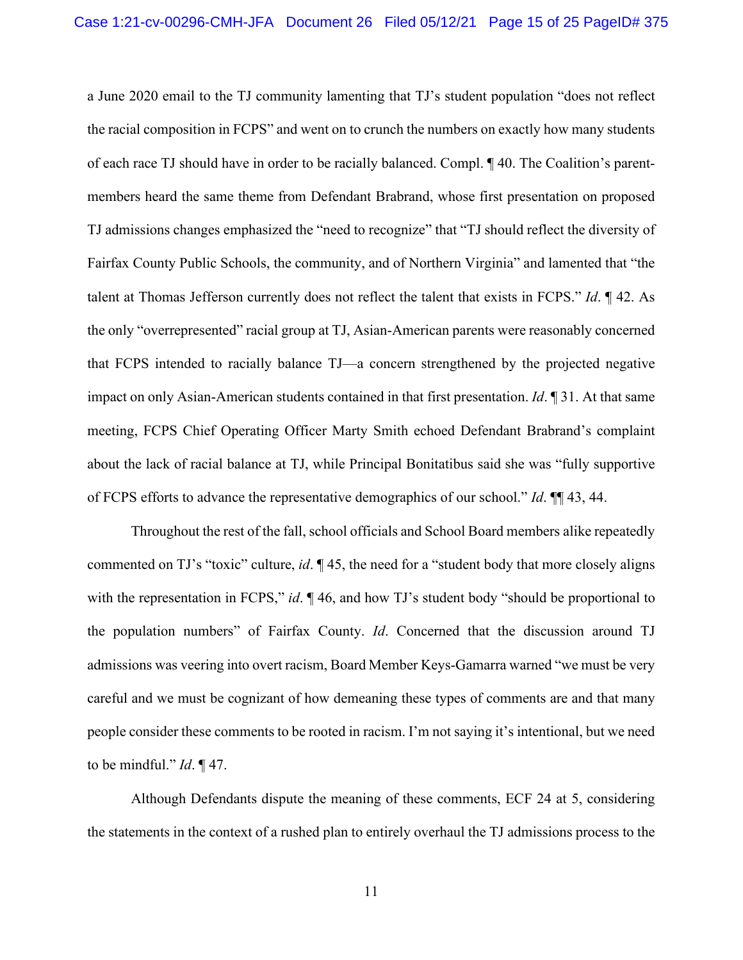a June 2020 email to the TJ community lamenting that TJ's student population "does not reflect the racial composition in FCPS" and went on to crunch the numbers on exactly how many students of each race TJ should have in order to be racially balanced. Compl. ¶ 40. The Coalition's parentmembers heard the same theme from Defendant Brabrand, whose first presentation on proposed TJ admissions changes emphasized the "need to recognize" that "TJ should reflect the diversity of Fairfax County Public Schools, the community, and of Northern Virginia" and lamented that "the talent at Thomas Jefferson currently does not reflect the talent that exists in FCPS." *Id*. ¶ 42. As the only "overrepresented" racial group at TJ, Asian-American parents were reasonably concerned that FCPS intended to racially balance TJ—a concern strengthened by the projected negative impact on only Asian-American students contained in that first presentation. *Id*. ¶ 31. At that same meeting, FCPS Chief Operating Officer Marty Smith echoed Defendant Brabrand's complaint about the lack of racial balance at TJ, while Principal Bonitatibus said she was "fully supportive of FCPS efforts to advance the representative demographics of our school." *Id*. ¶¶ 43, 44.

Throughout the rest of the fall, school officials and School Board members alike repeatedly commented on TJ's "toxic" culture, *id*. ¶ 45, the need for a "student body that more closely aligns with the representation in FCPS," *id.*  $\P$  46, and how TJ's student body "should be proportional to the population numbers" of Fairfax County. *Id*. Concerned that the discussion around TJ admissions was veering into overt racism, Board Member Keys-Gamarra warned "we must be very careful and we must be cognizant of how demeaning these types of comments are and that many people consider these comments to be rooted in racism. I'm not saying it's intentional, but we need to be mindful." *Id*. ¶ 47.

Although Defendants dispute the meaning of these comments, ECF 24 at 5, considering the statements in the context of a rushed plan to entirely overhaul the TJ admissions process to the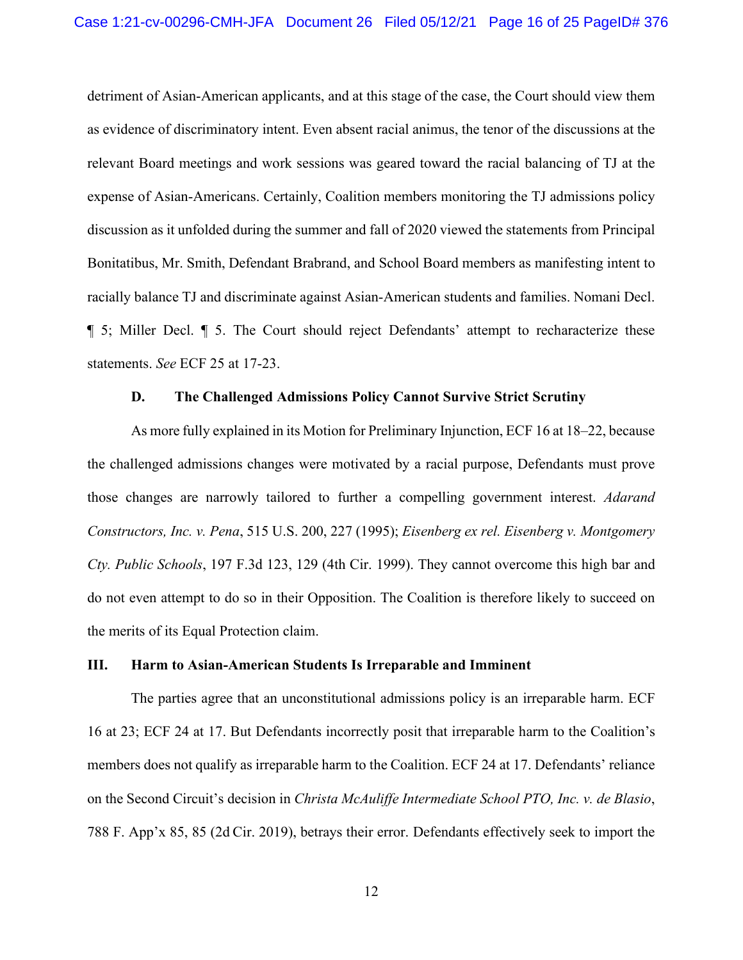detriment of Asian-American applicants, and at this stage of the case, the Court should view them as evidence of discriminatory intent. Even absent racial animus, the tenor of the discussions at the relevant Board meetings and work sessions was geared toward the racial balancing of TJ at the expense of Asian-Americans. Certainly, Coalition members monitoring the TJ admissions policy discussion as it unfolded during the summer and fall of 2020 viewed the statements from Principal Bonitatibus, Mr. Smith, Defendant Brabrand, and School Board members as manifesting intent to racially balance TJ and discriminate against Asian-American students and families. Nomani Decl. ¶ 5; Miller Decl. ¶ 5. The Court should reject Defendants' attempt to recharacterize these statements. *See* ECF 25 at 17-23.

#### <span id="page-15-2"></span><span id="page-15-0"></span>**D. The Challenged Admissions Policy Cannot Survive Strict Scrutiny**

As more fully explained in its Motion for Preliminary Injunction, ECF 16 at 18–22, because the challenged admissions changes were motivated by a racial purpose, Defendants must prove those changes are narrowly tailored to further a compelling government interest. *Adarand Constructors, Inc. v. Pena*, 515 U.S. 200, 227 (1995); *Eisenberg ex rel. Eisenberg v. Montgomery Cty. Public Schools*, 197 F.3d 123, 129 (4th Cir. 1999). They cannot overcome this high bar and do not even attempt to do so in their Opposition. The Coalition is therefore likely to succeed on the merits of its Equal Protection claim.

#### **III. Harm to Asian-American Students Is Irreparable and Imminent**

<span id="page-15-1"></span>The parties agree that an unconstitutional admissions policy is an irreparable harm. ECF 16 at 23; ECF 24 at 17. But Defendants incorrectly posit that irreparable harm to the Coalition's members does not qualify as irreparable harm to the Coalition. ECF 24 at 17. Defendants' reliance on the Second Circuit's decision in *Christa McAuliffe Intermediate School PTO, Inc. v. de Blasio*, 788 F. App'x 85, 85 (2d Cir. 2019), betrays their error. Defendants effectively seek to import the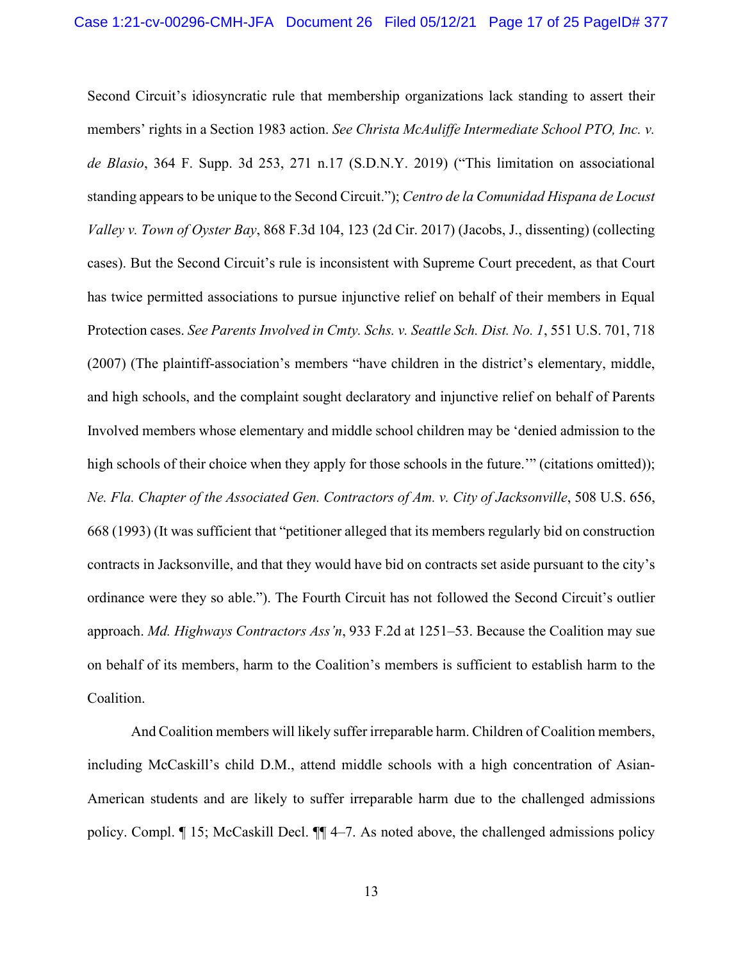<span id="page-16-4"></span><span id="page-16-1"></span><span id="page-16-0"></span>Second Circuit's idiosyncratic rule that membership organizations lack standing to assert their members' rights in a Section 1983 action. *See Christa McAuliffe Intermediate School PTO, Inc. v. de Blasio*, 364 F. Supp. 3d 253, 271 n.17 (S.D.N.Y. 2019) ("This limitation on associational standing appears to be unique to the Second Circuit."); *Centro de la Comunidad Hispana de Locust Valley v. Town of Oyster Bay*, 868 F.3d 104, 123 (2d Cir. 2017) (Jacobs, J., dissenting) (collecting cases). But the Second Circuit's rule is inconsistent with Supreme Court precedent, as that Court has twice permitted associations to pursue injunctive relief on behalf of their members in Equal Protection cases. *See Parents Involved in Cmty. Schs. v. Seattle Sch. Dist. No. 1*, 551 U.S. 701, 718 (2007) (The plaintiff-association's members "have children in the district's elementary, middle, and high schools, and the complaint sought declaratory and injunctive relief on behalf of Parents Involved members whose elementary and middle school children may be 'denied admission to the high schools of their choice when they apply for those schools in the future.'" (citations omitted)); *Ne. Fla. Chapter of the Associated Gen. Contractors of Am. v. City of Jacksonville*, 508 U.S. 656, 668 (1993) (It was sufficient that "petitioner alleged that its members regularly bid on construction contracts in Jacksonville, and that they would have bid on contracts set aside pursuant to the city's ordinance were they so able."). The Fourth Circuit has not followed the Second Circuit's outlier approach. *Md. Highways Contractors Ass'n*, [933 F.2d a](https://1.next.westlaw.com/Link/Document/FullText?findType=Y&serNum=1991094583&pubNum=0000350&originatingDoc=Iaa26c680875411e7bcf2cc0f37ee205d&refType=RP&fi=co_pp_sp_350_1251&originationContext=document&transitionType=DocumentItem&contextData=(sc.UserEnteredCitation)#co_pp_sp_350_1251)t 1251–53. Because the Coalition may sue on behalf of its members, harm to the Coalition's members is sufficient to establish harm to the Coalition.

<span id="page-16-3"></span><span id="page-16-2"></span>And Coalition members will likely suffer irreparable harm. Children of Coalition members, including McCaskill's child D.M., attend middle schools with a high concentration of Asian-American students and are likely to suffer irreparable harm due to the challenged admissions policy. Compl. ¶ 15; McCaskill Decl. ¶¶ 4–7. As noted above, the challenged admissions policy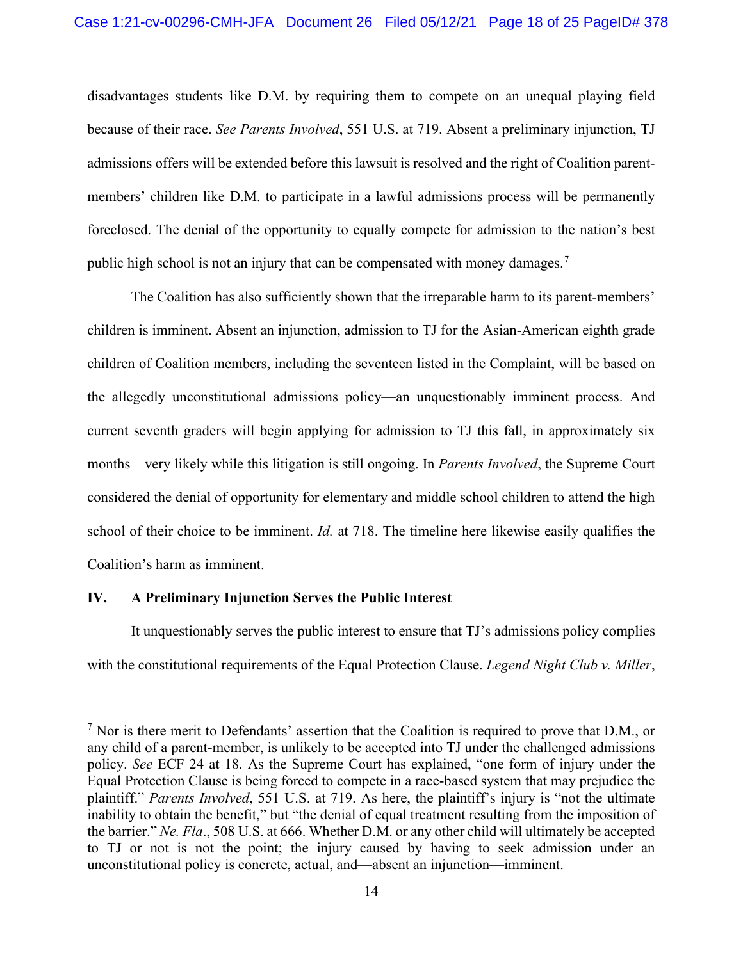<span id="page-17-2"></span>disadvantages students like D.M. by requiring them to compete on an unequal playing field because of their race. *See Parents Involved*, 551 U.S. at 719. Absent a preliminary injunction, TJ admissions offers will be extended before this lawsuit is resolved and the right of Coalition parentmembers' children like D.M. to participate in a lawful admissions process will be permanently foreclosed. The denial of the opportunity to equally compete for admission to the nation's best public high school is not an injury that can be compensated with money damages.<sup>[7](#page-17-3)</sup>

The Coalition has also sufficiently shown that the irreparable harm to its parent-members' children is imminent. Absent an injunction, admission to TJ for the Asian-American eighth grade children of Coalition members, including the seventeen listed in the Complaint, will be based on the allegedly unconstitutional admissions policy—an unquestionably imminent process. And current seventh graders will begin applying for admission to TJ this fall, in approximately six months—very likely while this litigation is still ongoing. In *Parents Involved*, the Supreme Court considered the denial of opportunity for elementary and middle school children to attend the high school of their choice to be imminent. *Id.* at 718. The timeline here likewise easily qualifies the Coalition's harm as imminent.

#### **IV. A Preliminary Injunction Serves the Public Interest**

<span id="page-17-0"></span>It unquestionably serves the public interest to ensure that TJ's admissions policy complies with the constitutional requirements of the Equal Protection Clause. *Legend Night Club v. Miller*,

<span id="page-17-3"></span><span id="page-17-1"></span> $<sup>7</sup>$  Nor is there merit to Defendants' assertion that the Coalition is required to prove that D.M., or</sup> any child of a parent-member, is unlikely to be accepted into TJ under the challenged admissions policy. *See* ECF 24 at 18. As the Supreme Court has explained, "one form of injury under the Equal Protection Clause is being forced to compete in a race-based system that may prejudice the plaintiff." *Parents Involved*, 551 U.S. at 719. As here, the plaintiff's injury is "not the ultimate inability to obtain the benefit," but "the denial of equal treatment resulting from the imposition of the barrier." *Ne. Fla*., 508 U.S. at 666. Whether D.M. or any other child will ultimately be accepted to TJ or not is not the point; the injury caused by having to seek admission under an unconstitutional policy is concrete, actual, and—absent an injunction—imminent.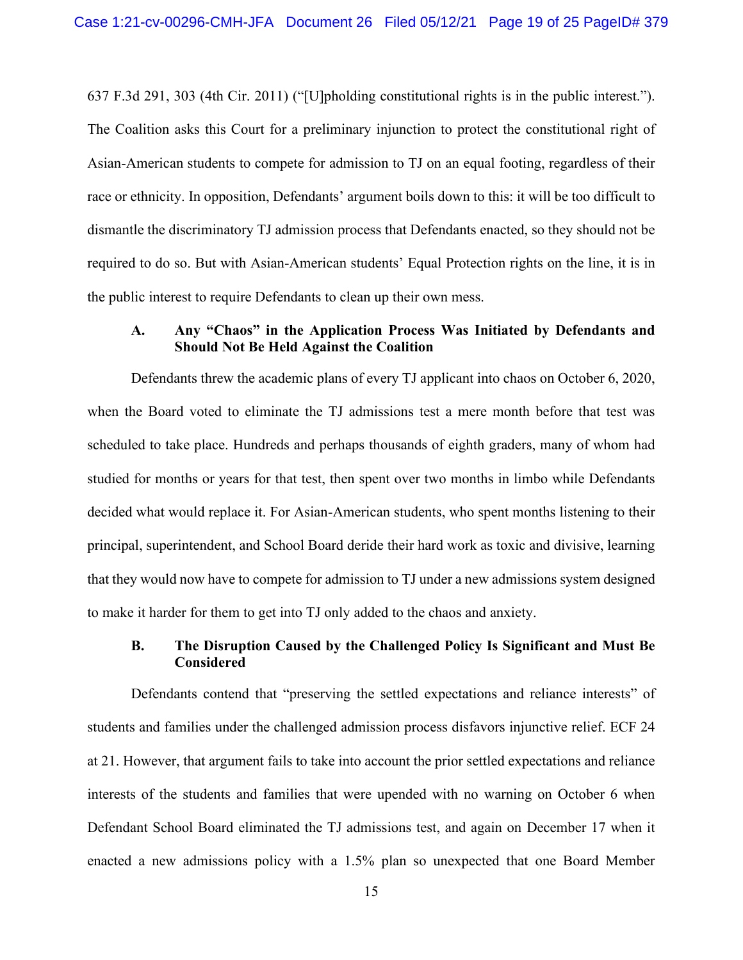637 F.3d 291, 303 (4th Cir. 2011) ("[U]pholding constitutional rights is in the public interest."). The Coalition asks this Court for a preliminary injunction to protect the constitutional right of Asian-American students to compete for admission to TJ on an equal footing, regardless of their race or ethnicity. In opposition, Defendants' argument boils down to this: it will be too difficult to dismantle the discriminatory TJ admission process that Defendants enacted, so they should not be required to do so. But with Asian-American students' Equal Protection rights on the line, it is in the public interest to require Defendants to clean up their own mess.

## **A. Any "Chaos" in the Application Process Was Initiated by Defendants and Should Not Be Held Against the Coalition**

Defendants threw the academic plans of every TJ applicant into chaos on October 6, 2020, when the Board voted to eliminate the TJ admissions test a mere month before that test was scheduled to take place. Hundreds and perhaps thousands of eighth graders, many of whom had studied for months or years for that test, then spent over two months in limbo while Defendants decided what would replace it. For Asian-American students, who spent months listening to their principal, superintendent, and School Board deride their hard work as toxic and divisive, learning that they would now have to compete for admission to TJ under a new admissions system designed to make it harder for them to get into TJ only added to the chaos and anxiety.

### **B. The Disruption Caused by the Challenged Policy Is Significant and Must Be Considered**

Defendants contend that "preserving the settled expectations and reliance interests" of students and families under the challenged admission process disfavors injunctive relief. ECF 24 at 21. However, that argument fails to take into account the prior settled expectations and reliance interests of the students and families that were upended with no warning on October 6 when Defendant School Board eliminated the TJ admissions test, and again on December 17 when it enacted a new admissions policy with a 1.5% plan so unexpected that one Board Member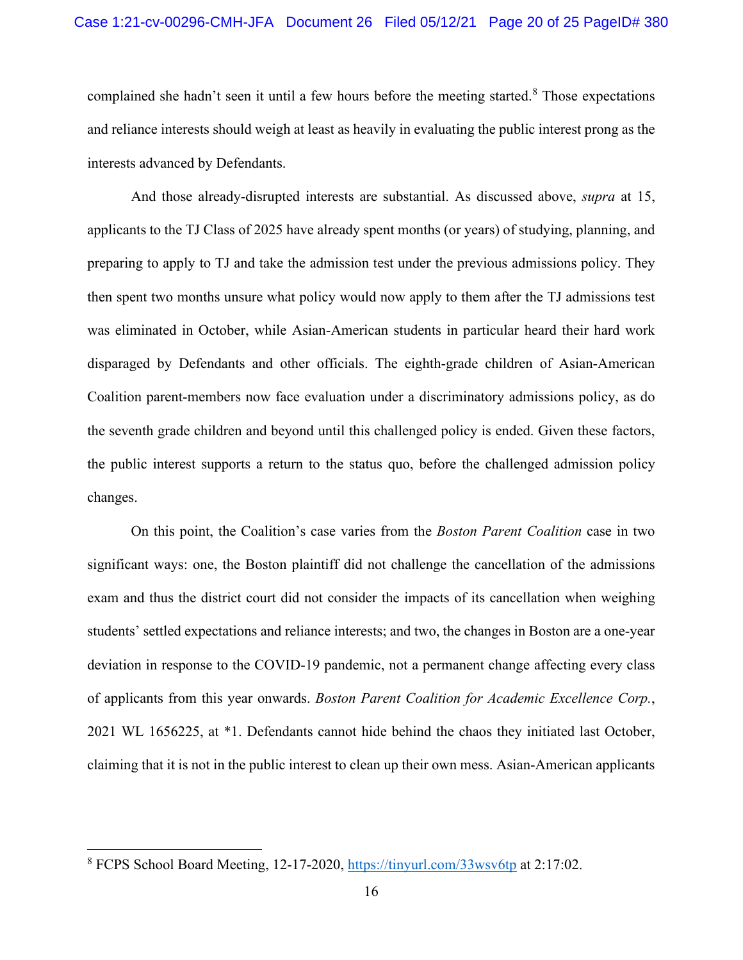#### Case 1:21-cv-00296-CMH-JFA Document 26 Filed 05/12/21 Page 20 of 25 PageID# 380

complained she hadn't seen it until a few hours before the meeting started.<sup>[8](#page-19-2)</sup> Those expectations and reliance interests should weigh at least as heavily in evaluating the public interest prong as the interests advanced by Defendants.

And those already-disrupted interests are substantial. As discussed above, *supra* at 15, applicants to the TJ Class of 2025 have already spent months (or years) of studying, planning, and preparing to apply to TJ and take the admission test under the previous admissions policy. They then spent two months unsure what policy would now apply to them after the TJ admissions test was eliminated in October, while Asian-American students in particular heard their hard work disparaged by Defendants and other officials. The eighth-grade children of Asian-American Coalition parent-members now face evaluation under a discriminatory admissions policy, as do the seventh grade children and beyond until this challenged policy is ended. Given these factors, the public interest supports a return to the status quo, before the challenged admission policy changes.

<span id="page-19-0"></span>On this point, the Coalition's case varies from the *Boston Parent Coalition* case in two significant ways: one, the Boston plaintiff did not challenge the cancellation of the admissions exam and thus the district court did not consider the impacts of its cancellation when weighing students' settled expectations and reliance interests; and two, the changes in Boston are a one-year deviation in response to the COVID-19 pandemic, not a permanent change affecting every class of applicants from this year onwards. *Boston Parent Coalition for Academic Excellence Corp.*, 2021 WL 1656225, at \*1. Defendants cannot hide behind the chaos they initiated last October, claiming that it is not in the public interest to clean up their own mess. Asian-American applicants

<span id="page-19-2"></span><span id="page-19-1"></span><sup>8</sup> FCPS School Board Meeting, 12-17-2020,<https://tinyurl.com/33wsv6tp> at 2:17:02.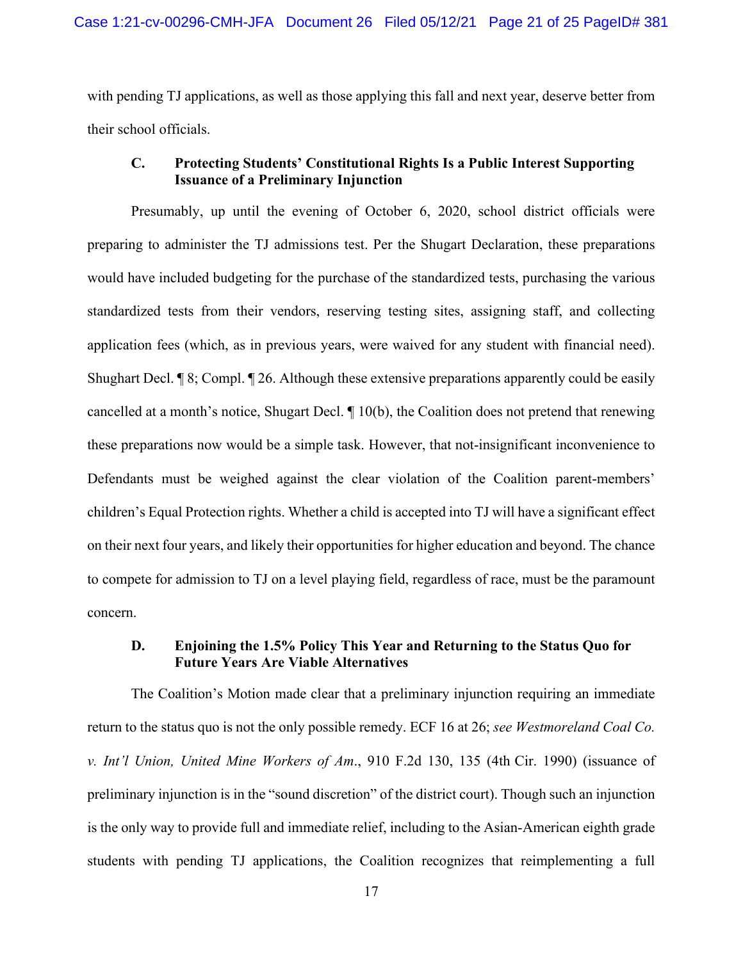with pending TJ applications, as well as those applying this fall and next year, deserve better from their school officials.

# **C. Protecting Students' Constitutional Rights Is a Public Interest Supporting Issuance of a Preliminary Injunction**

Presumably, up until the evening of October 6, 2020, school district officials were preparing to administer the TJ admissions test. Per the Shugart Declaration, these preparations would have included budgeting for the purchase of the standardized tests, purchasing the various standardized tests from their vendors, reserving testing sites, assigning staff, and collecting application fees (which, as in previous years, were waived for any student with financial need). Shughart Decl. ¶ 8; Compl. ¶ 26. Although these extensive preparations apparently could be easily cancelled at a month's notice, Shugart Decl. ¶ 10(b), the Coalition does not pretend that renewing these preparations now would be a simple task. However, that not-insignificant inconvenience to Defendants must be weighed against the clear violation of the Coalition parent-members' children's Equal Protection rights. Whether a child is accepted into TJ will have a significant effect on their next four years, and likely their opportunities for higher education and beyond. The chance to compete for admission to TJ on a level playing field, regardless of race, must be the paramount concern.

### <span id="page-20-0"></span>**D. Enjoining the 1.5% Policy This Year and Returning to the Status Quo for Future Years Are Viable Alternatives**

The Coalition's Motion made clear that a preliminary injunction requiring an immediate return to the status quo is not the only possible remedy. ECF 16 at 26; *see Westmoreland Coal Co. v. Int'l Union, United Mine Workers of Am*., 910 F.2d 130, 135 (4th Cir. 1990) (issuance of preliminary injunction is in the "sound discretion" of the district court). Though such an injunction is the only way to provide full and immediate relief, including to the Asian-American eighth grade students with pending TJ applications, the Coalition recognizes that reimplementing a full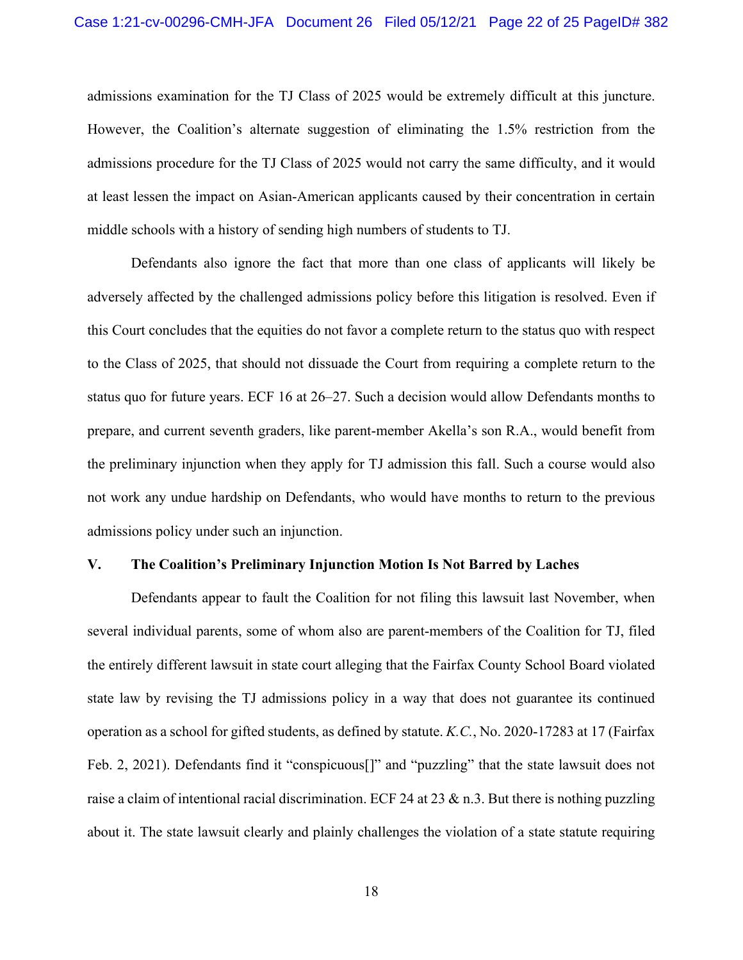admissions examination for the TJ Class of 2025 would be extremely difficult at this juncture. However, the Coalition's alternate suggestion of eliminating the 1.5% restriction from the admissions procedure for the TJ Class of 2025 would not carry the same difficulty, and it would at least lessen the impact on Asian-American applicants caused by their concentration in certain middle schools with a history of sending high numbers of students to TJ.

Defendants also ignore the fact that more than one class of applicants will likely be adversely affected by the challenged admissions policy before this litigation is resolved. Even if this Court concludes that the equities do not favor a complete return to the status quo with respect to the Class of 2025, that should not dissuade the Court from requiring a complete return to the status quo for future years. ECF 16 at 26–27. Such a decision would allow Defendants months to prepare, and current seventh graders, like parent-member Akella's son R.A., would benefit from the preliminary injunction when they apply for TJ admission this fall. Such a course would also not work any undue hardship on Defendants, who would have months to return to the previous admissions policy under such an injunction.

#### **V. The Coalition's Preliminary Injunction Motion Is Not Barred by Laches**

<span id="page-21-0"></span>Defendants appear to fault the Coalition for not filing this lawsuit last November, when several individual parents, some of whom also are parent-members of the Coalition for TJ, filed the entirely different lawsuit in state court alleging that the Fairfax County School Board violated state law by revising the TJ admissions policy in a way that does not guarantee its continued operation as a school for gifted students, as defined by statute. *K.C.*, No. 2020-17283 at 17 (Fairfax Feb. 2, 2021). Defendants find it "conspicuous[]" and "puzzling" that the state lawsuit does not raise a claim of intentional racial discrimination. ECF 24 at 23 & n.3. But there is nothing puzzling about it. The state lawsuit clearly and plainly challenges the violation of a state statute requiring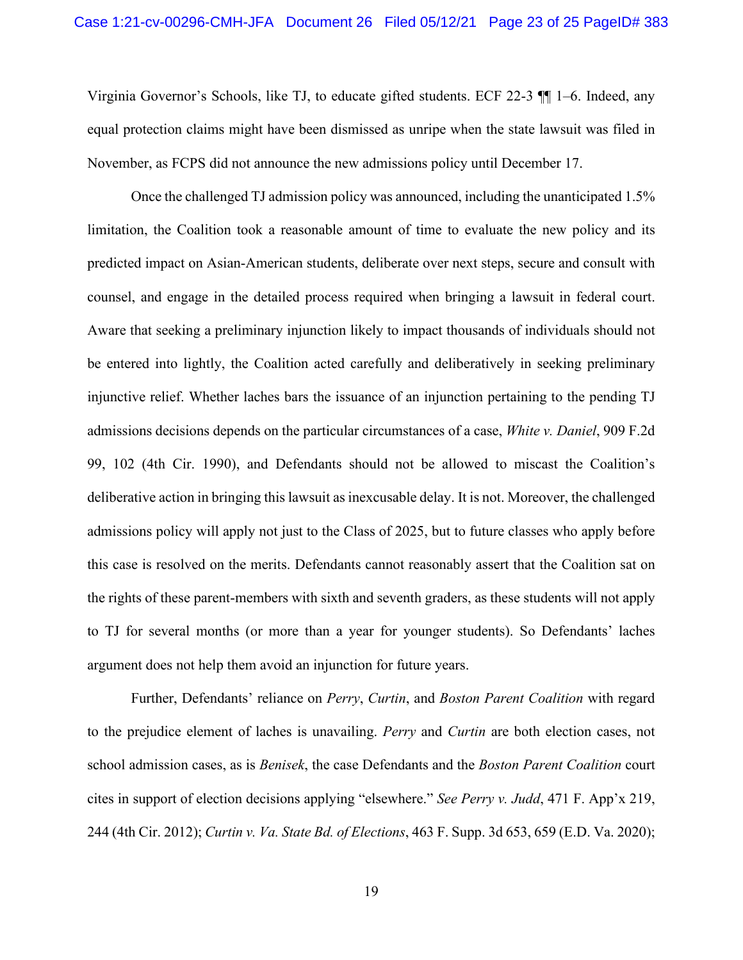Virginia Governor's Schools, like TJ, to educate gifted students. ECF 22-3 ¶¶ 1–6. Indeed, any equal protection claims might have been dismissed as unripe when the state lawsuit was filed in November, as FCPS did not announce the new admissions policy until December 17.

<span id="page-22-2"></span>Once the challenged TJ admission policy was announced, including the unanticipated 1.5% limitation, the Coalition took a reasonable amount of time to evaluate the new policy and its predicted impact on Asian-American students, deliberate over next steps, secure and consult with counsel, and engage in the detailed process required when bringing a lawsuit in federal court. Aware that seeking a preliminary injunction likely to impact thousands of individuals should not be entered into lightly, the Coalition acted carefully and deliberatively in seeking preliminary injunctive relief. Whether laches bars the issuance of an injunction pertaining to the pending TJ admissions decisions depends on the particular circumstances of a case, *White v. Daniel*, 909 F.2d 99, 102 (4th Cir. 1990), and Defendants should not be allowed to miscast the Coalition's deliberative action in bringing this lawsuit as inexcusable delay. It is not. Moreover, the challenged admissions policy will apply not just to the Class of 2025, but to future classes who apply before this case is resolved on the merits. Defendants cannot reasonably assert that the Coalition sat on the rights of these parent-members with sixth and seventh graders, as these students will not apply to TJ for several months (or more than a year for younger students). So Defendants' laches argument does not help them avoid an injunction for future years.

<span id="page-22-1"></span><span id="page-22-0"></span>Further, Defendants' reliance on *Perry*, *Curtin*, and *Boston Parent Coalition* with regard to the prejudice element of laches is unavailing. *Perry* and *Curtin* are both election cases, not school admission cases, as is *Benisek*, the case Defendants and the *Boston Parent Coalition* court cites in support of election decisions applying "elsewhere." *See Perry v. Judd*, 471 F. App'x 219, 244 (4th Cir. 2012); *Curtin v. Va. State Bd. of Elections*, 463 F. Supp. 3d 653, 659 (E.D. Va. 2020);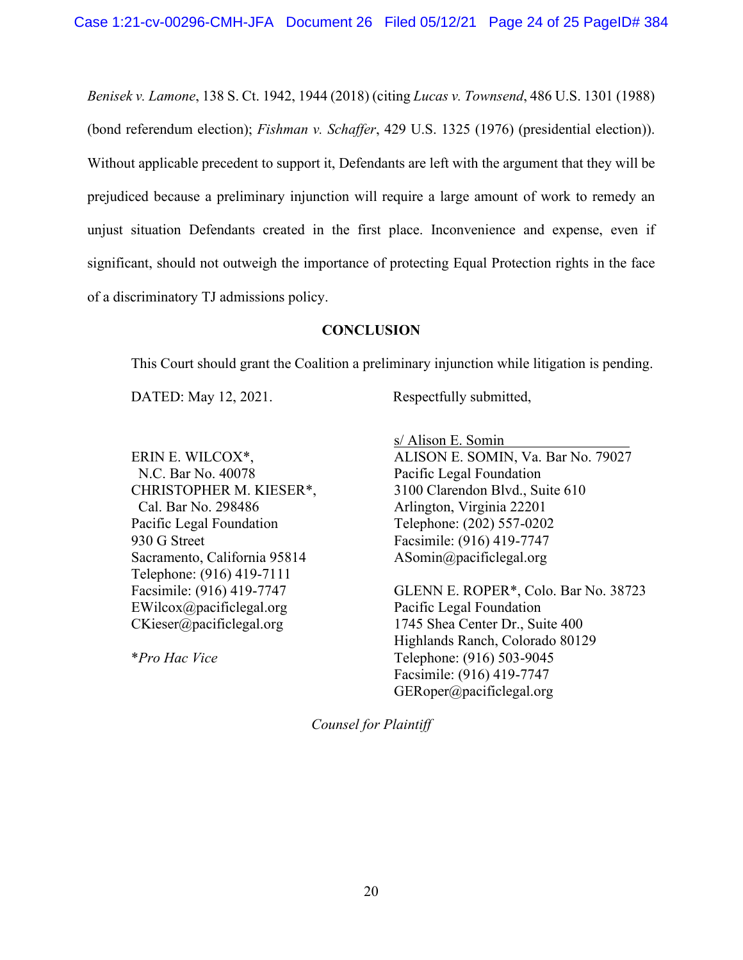<span id="page-23-1"></span><span id="page-23-0"></span>*Benisek v. Lamone*, 138 S. Ct. 1942, 1944 (2018) (citing *Lucas v. Townsend*, 486 U.S. 1301 (1988) (bond referendum election); *Fishman v. Schaffer*, 429 U.S. 1325 (1976) (presidential election)). Without applicable precedent to support it, Defendants are left with the argument that they will be prejudiced because a preliminary injunction will require a large amount of work to remedy an unjust situation Defendants created in the first place. Inconvenience and expense, even if significant, should not outweigh the importance of protecting Equal Protection rights in the face of a discriminatory TJ admissions policy.

### <span id="page-23-2"></span>**CONCLUSION**

This Court should grant the Coalition a preliminary injunction while litigation is pending.

DATED: May 12, 2021. Respectfully submitted,

ERIN E. WILCOX\*, N.C. Bar No. 40078 CHRISTOPHER M. KIESER\*, Cal. Bar No. 298486 Pacific Legal Foundation 930 G Street Sacramento, California 95814 Telephone: (916) 419-7111 Facsimile: (916) 419-7747 EWilcox@pacificlegal.org CKieser@pacificlegal.org

\**Pro Hac Vice*

s/ Alison E. Somin ALISON E. SOMIN, Va. Bar No. 79027 Pacific Legal Foundation 3100 Clarendon Blvd., Suite 610 Arlington, Virginia 22201 Telephone: (202) 557-0202 Facsimile: (916) 419-7747 ASomin@pacificlegal.org

GLENN E. ROPER\*, Colo. Bar No. 38723 Pacific Legal Foundation 1745 Shea Center Dr., Suite 400 Highlands Ranch, Colorado 80129 Telephone: (916) 503-9045 Facsimile: (916) 419-7747 GERoper@pacificlegal.org

*Counsel for Plaintiff*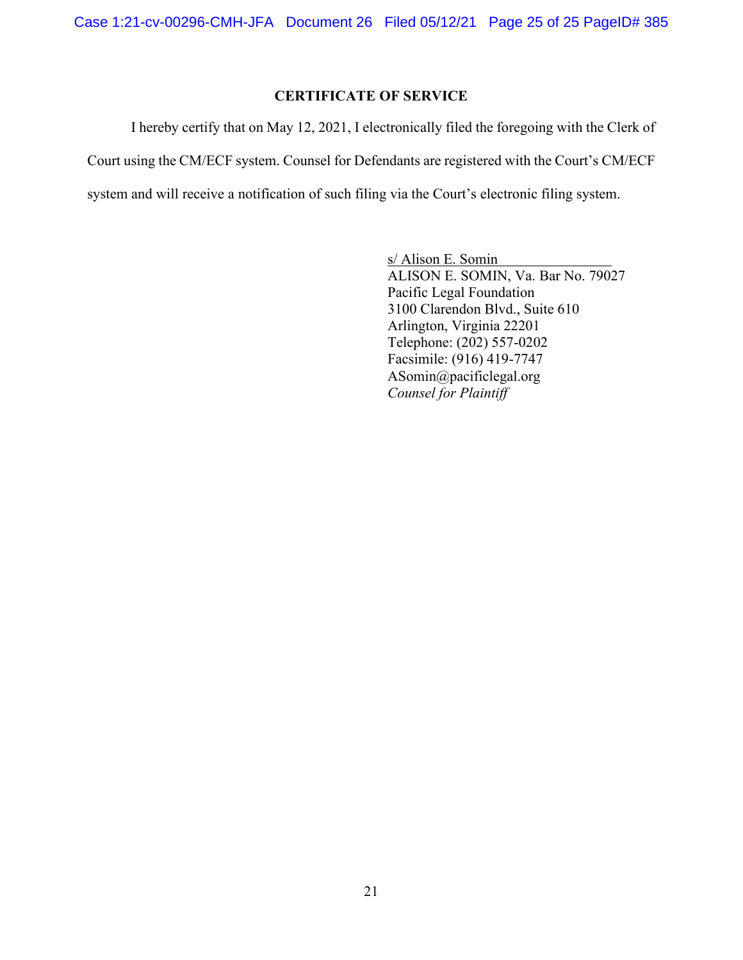# **CERTIFICATE OF SERVICE**

I hereby certify that on May 12, 2021, I electronically filed the foregoing with the Clerk of Court using the CM/ECF system. Counsel for Defendants are registered with the Court's CM/ECF system and will receive a notification of such filing via the Court's electronic filing system.

> s/ Alison E. Somin ALISON E. SOMIN, Va. Bar No. 79027 Pacific Legal Foundation 3100 Clarendon Blvd., Suite 610 Arlington, Virginia 22201 Telephone: (202) 557-0202 Facsimile: (916) 419-7747 ASomin@pacificlegal.org *Counsel for Plaintiff*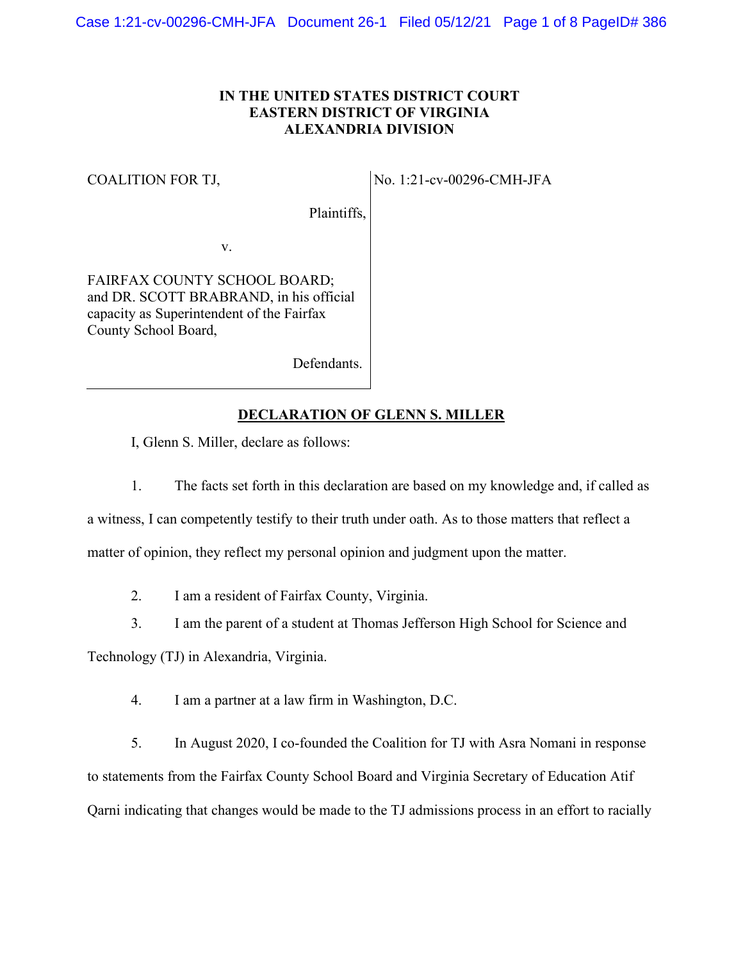# **IN THE UNITED STATES DISTRICT COURT EASTERN DISTRICT OF VIRGINIA ALEXANDRIA DIVISION**

#### COALITION FOR TJ,

No. 1:21-cv-00296-CMH-JFA

Plaintiffs,

v.

FAIRFAX COUNTY SCHOOL BOARD; and DR. SCOTT BRABRAND, in his official capacity as Superintendent of the Fairfax County School Board,

Defendants.

### **DECLARATION OF GLENN S. MILLER**

I, Glenn S. Miller, declare as follows:

1. The facts set forth in this declaration are based on my knowledge and, if called as

a witness, I can competently testify to their truth under oath. As to those matters that reflect a matter of opinion, they reflect my personal opinion and judgment upon the matter.

2. I am a resident of Fairfax County, Virginia.

3. I am the parent of a student at Thomas Jefferson High School for Science and

Technology (TJ) in Alexandria, Virginia.

4. I am a partner at a law firm in Washington, D.C.

5. In August 2020, I co-founded the Coalition for TJ with Asra Nomani in response to statements from the Fairfax County School Board and Virginia Secretary of Education Atif Qarni indicating that changes would be made to the TJ admissions process in an effort to racially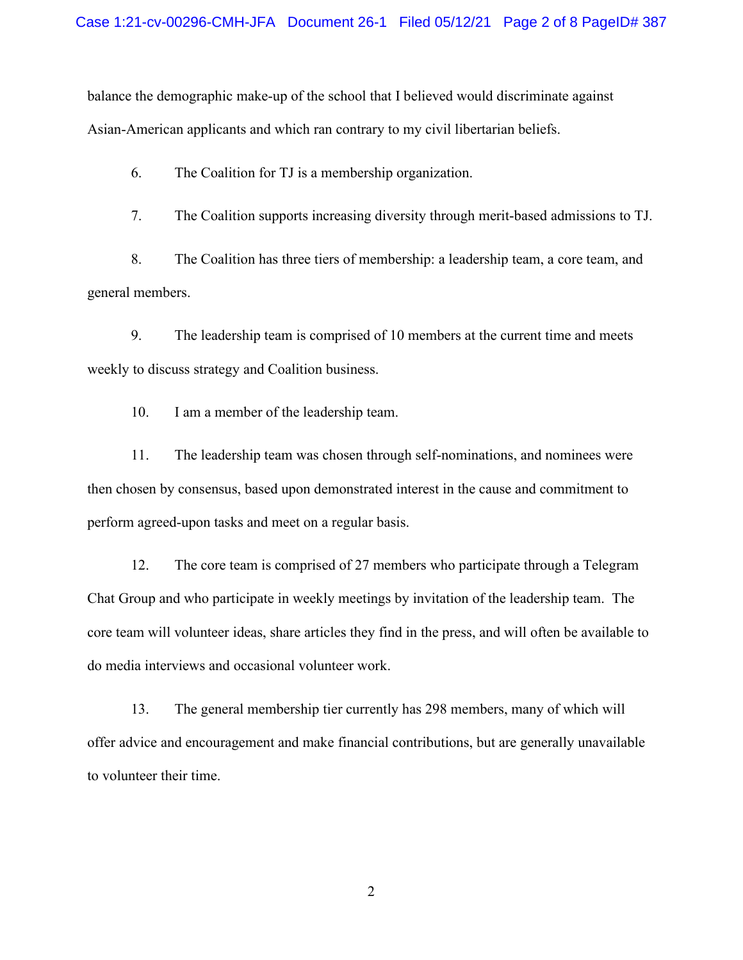balance the demographic make-up of the school that I believed would discriminate against Asian-American applicants and which ran contrary to my civil libertarian beliefs.

6. The Coalition for TJ is a membership organization.

7. The Coalition supports increasing diversity through merit-based admissions to TJ.

8. The Coalition has three tiers of membership: a leadership team, a core team, and general members.

9. The leadership team is comprised of 10 members at the current time and meets weekly to discuss strategy and Coalition business.

10. I am a member of the leadership team.

11. The leadership team was chosen through self-nominations, and nominees were then chosen by consensus, based upon demonstrated interest in the cause and commitment to perform agreed-upon tasks and meet on a regular basis.

12. The core team is comprised of 27 members who participate through a Telegram Chat Group and who participate in weekly meetings by invitation of the leadership team. The core team will volunteer ideas, share articles they find in the press, and will often be available to do media interviews and occasional volunteer work.

13. The general membership tier currently has 298 members, many of which will offer advice and encouragement and make financial contributions, but are generally unavailable to volunteer their time.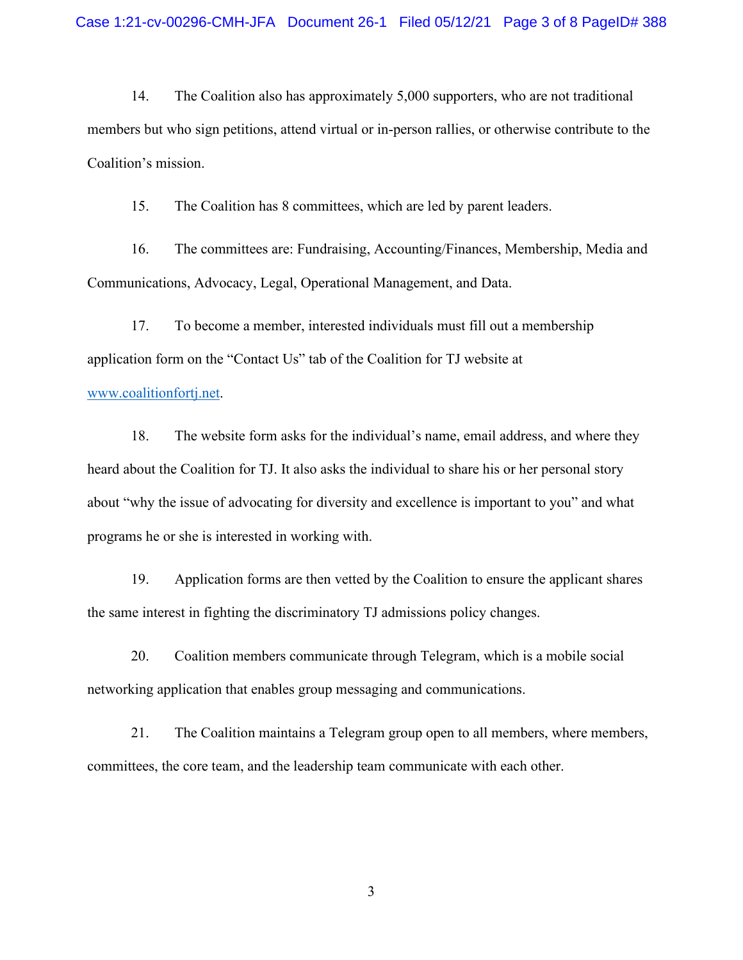14. The Coalition also has approximately 5,000 supporters, who are not traditional members but who sign petitions, attend virtual or in-person rallies, or otherwise contribute to the Coalition's mission.

15. The Coalition has 8 committees, which are led by parent leaders.

16. The committees are: Fundraising, Accounting/Finances, Membership, Media and Communications, Advocacy, Legal, Operational Management, and Data.

17. To become a member, interested individuals must fill out a membership application form on the "Contact Us" tab of the Coalition for TJ website at

### [www.coalitionfortj.net.](http://www.coalitionfortj.net/)

18. The website form asks for the individual's name, email address, and where they heard about the Coalition for TJ. It also asks the individual to share his or her personal story about "why the issue of advocating for diversity and excellence is important to you" and what programs he or she is interested in working with.

19. Application forms are then vetted by the Coalition to ensure the applicant shares the same interest in fighting the discriminatory TJ admissions policy changes.

20. Coalition members communicate through Telegram, which is a mobile social networking application that enables group messaging and communications.

21. The Coalition maintains a Telegram group open to all members, where members, committees, the core team, and the leadership team communicate with each other.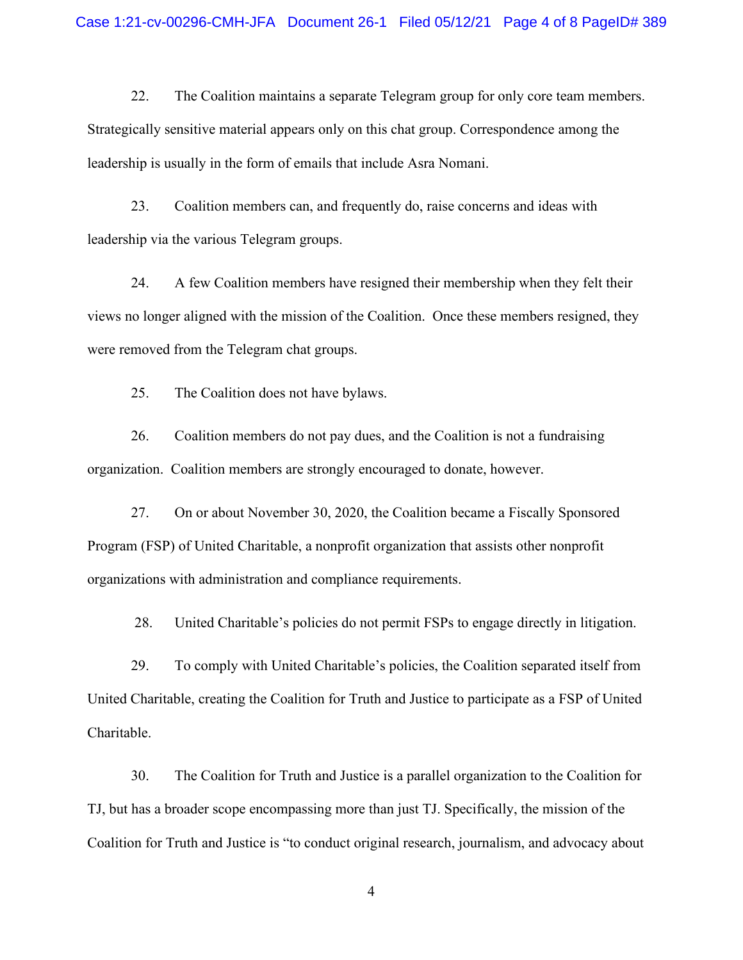22. The Coalition maintains a separate Telegram group for only core team members. Strategically sensitive material appears only on this chat group. Correspondence among the leadership is usually in the form of emails that include Asra Nomani.

23. Coalition members can, and frequently do, raise concerns and ideas with leadership via the various Telegram groups.

24. A few Coalition members have resigned their membership when they felt their views no longer aligned with the mission of the Coalition. Once these members resigned, they were removed from the Telegram chat groups.

25. The Coalition does not have bylaws.

26. Coalition members do not pay dues, and the Coalition is not a fundraising organization. Coalition members are strongly encouraged to donate, however.

27. On or about November 30, 2020, the Coalition became a Fiscally Sponsored Program (FSP) of United Charitable, a nonprofit organization that assists other nonprofit organizations with administration and compliance requirements.

28. United Charitable's policies do not permit FSPs to engage directly in litigation.

29. To comply with United Charitable's policies, the Coalition separated itself from United Charitable, creating the Coalition for Truth and Justice to participate as a FSP of United Charitable.

30. The Coalition for Truth and Justice is a parallel organization to the Coalition for TJ, but has a broader scope encompassing more than just TJ. Specifically, the mission of the Coalition for Truth and Justice is "to conduct original research, journalism, and advocacy about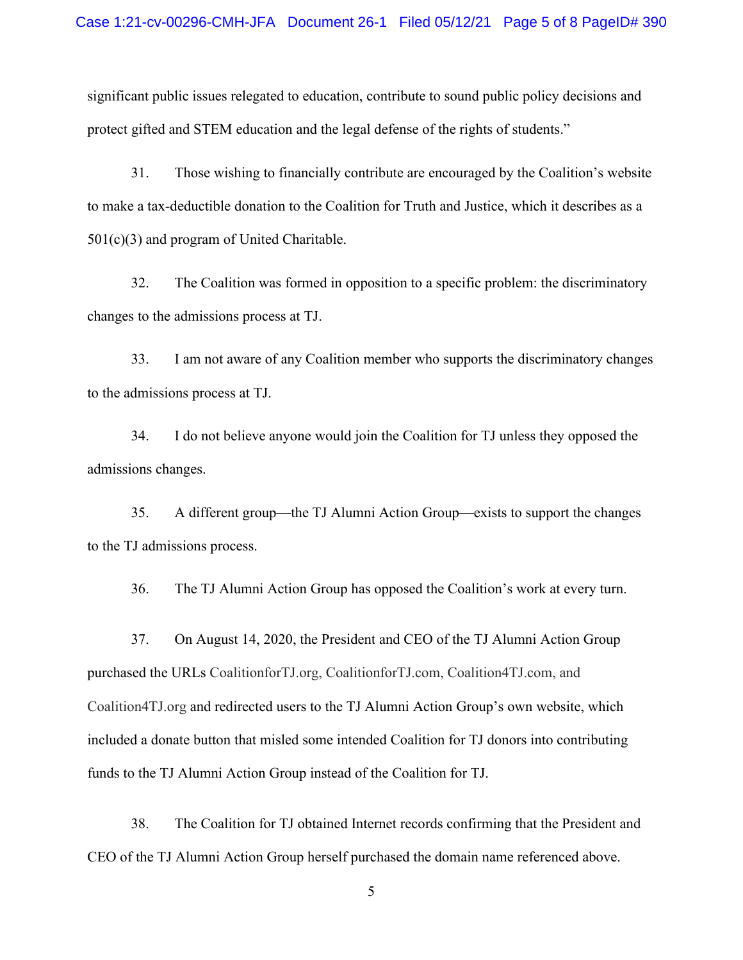significant public issues relegated to education, contribute to sound public policy decisions and protect gifted and STEM education and the legal defense of the rights of students."

31. Those wishing to financially contribute are encouraged by the Coalition's website to make a tax-deductible donation to the Coalition for Truth and Justice, which it describes as a 501(c)(3) and program of United Charitable.

32. The Coalition was formed in opposition to a specific problem: the discriminatory changes to the admissions process at TJ.

33. I am not aware of any Coalition member who supports the discriminatory changes to the admissions process at TJ.

34. I do not believe anyone would join the Coalition for TJ unless they opposed the admissions changes.

35. A different group—the TJ Alumni Action Group—exists to support the changes to the TJ admissions process.

36. The TJ Alumni Action Group has opposed the Coalition's work at every turn.

37. On August 14, 2020, the President and CEO of the TJ Alumni Action Group purchased the URLs CoalitionforTJ.org, CoalitionforTJ.com, Coalition4TJ.com, and Coalition4TJ.org and redirected users to the TJ Alumni Action Group's own website, which included a donate button that misled some intended Coalition for TJ donors into contributing funds to the TJ Alumni Action Group instead of the Coalition for TJ.

38. The Coalition for TJ obtained Internet records confirming that the President and CEO of the TJ Alumni Action Group herself purchased the domain name referenced above.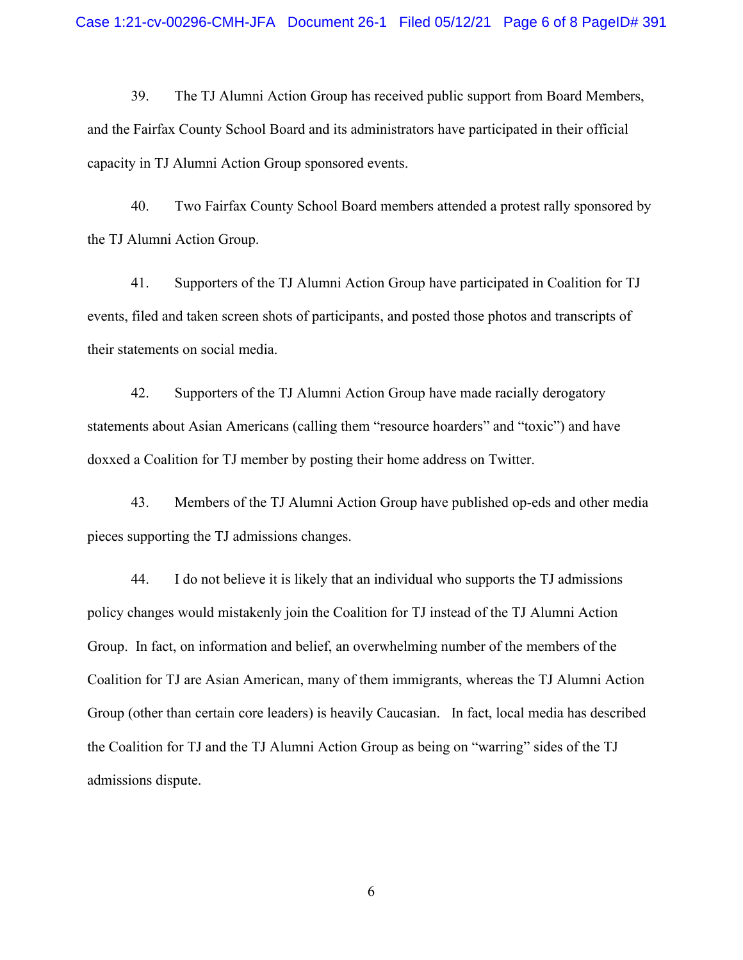39. The TJ Alumni Action Group has received public support from Board Members, and the Fairfax County School Board and its administrators have participated in their official capacity in TJ Alumni Action Group sponsored events.

40. Two Fairfax County School Board members attended a protest rally sponsored by the TJ Alumni Action Group.

41. Supporters of the TJ Alumni Action Group have participated in Coalition for TJ events, filed and taken screen shots of participants, and posted those photos and transcripts of their statements on social media.

42. Supporters of the TJ Alumni Action Group have made racially derogatory statements about Asian Americans (calling them "resource hoarders" and "toxic") and have doxxed a Coalition for TJ member by posting their home address on Twitter.

43. Members of the TJ Alumni Action Group have published op-eds and other media pieces supporting the TJ admissions changes.

44. I do not believe it is likely that an individual who supports the TJ admissions policy changes would mistakenly join the Coalition for TJ instead of the TJ Alumni Action Group. In fact, on information and belief, an overwhelming number of the members of the Coalition for TJ are Asian American, many of them immigrants, whereas the TJ Alumni Action Group (other than certain core leaders) is heavily Caucasian. In fact, local media has described the Coalition for TJ and the TJ Alumni Action Group as being on "warring" sides of the TJ admissions dispute.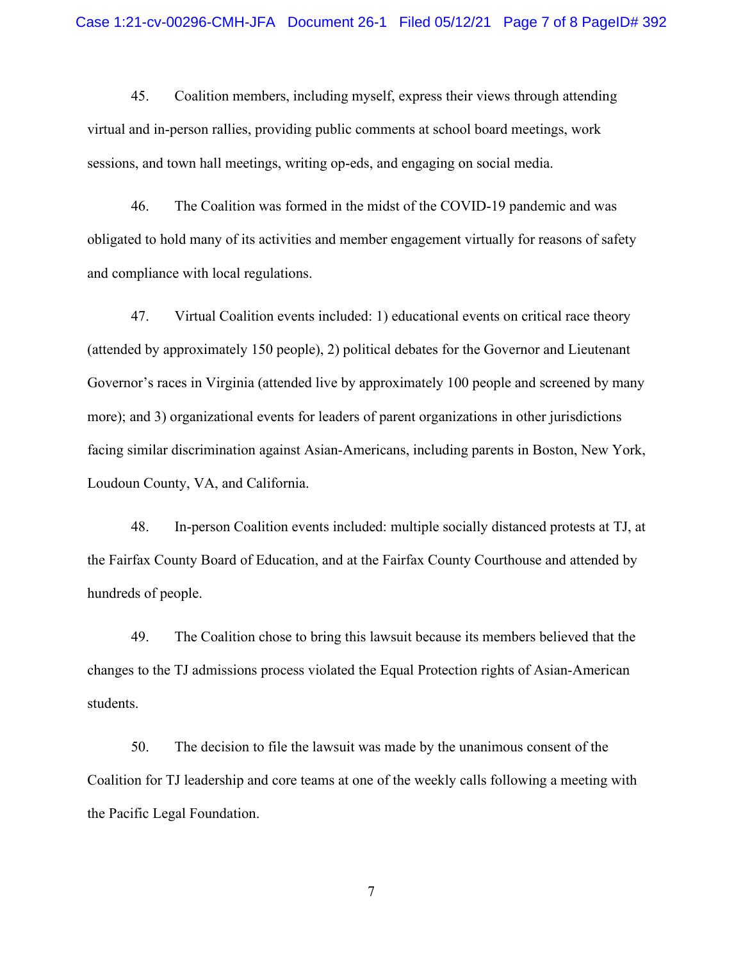45. Coalition members, including myself, express their views through attending virtual and in-person rallies, providing public comments at school board meetings, work sessions, and town hall meetings, writing op-eds, and engaging on social media.

46. The Coalition was formed in the midst of the COVID-19 pandemic and was obligated to hold many of its activities and member engagement virtually for reasons of safety and compliance with local regulations.

47. Virtual Coalition events included: 1) educational events on critical race theory (attended by approximately 150 people), 2) political debates for the Governor and Lieutenant Governor's races in Virginia (attended live by approximately 100 people and screened by many more); and 3) organizational events for leaders of parent organizations in other jurisdictions facing similar discrimination against Asian-Americans, including parents in Boston, New York, Loudoun County, VA, and California.

48. In-person Coalition events included: multiple socially distanced protests at TJ, at the Fairfax County Board of Education, and at the Fairfax County Courthouse and attended by hundreds of people.

49. The Coalition chose to bring this lawsuit because its members believed that the changes to the TJ admissions process violated the Equal Protection rights of Asian-American students.

50. The decision to file the lawsuit was made by the unanimous consent of the Coalition for TJ leadership and core teams at one of the weekly calls following a meeting with the Pacific Legal Foundation.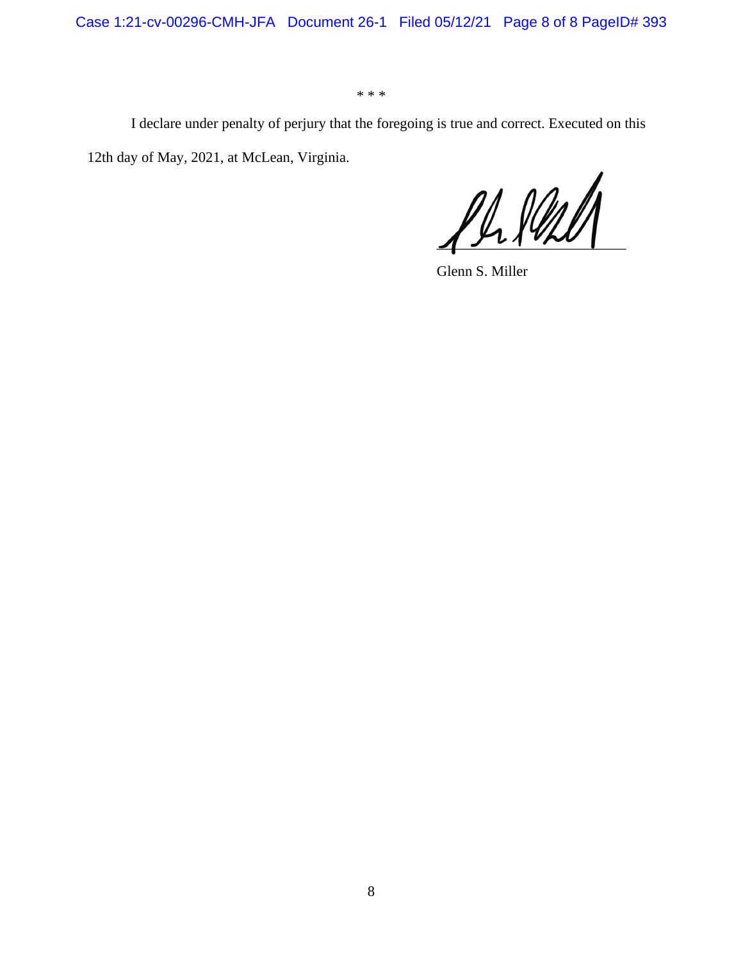Case 1:21-cv-00296-CMH-JFA Document 26-1 Filed 05/12/21 Page 8 of 8 PageID# 393

\* \* \*

I declare under penalty of perjury that the foregoing is true and correct. Executed on this 12th day of May, 2021, at McLean, Virginia.

 $\frac{\rho\mu\mu\ell\ell}$ 

Glenn S. Miller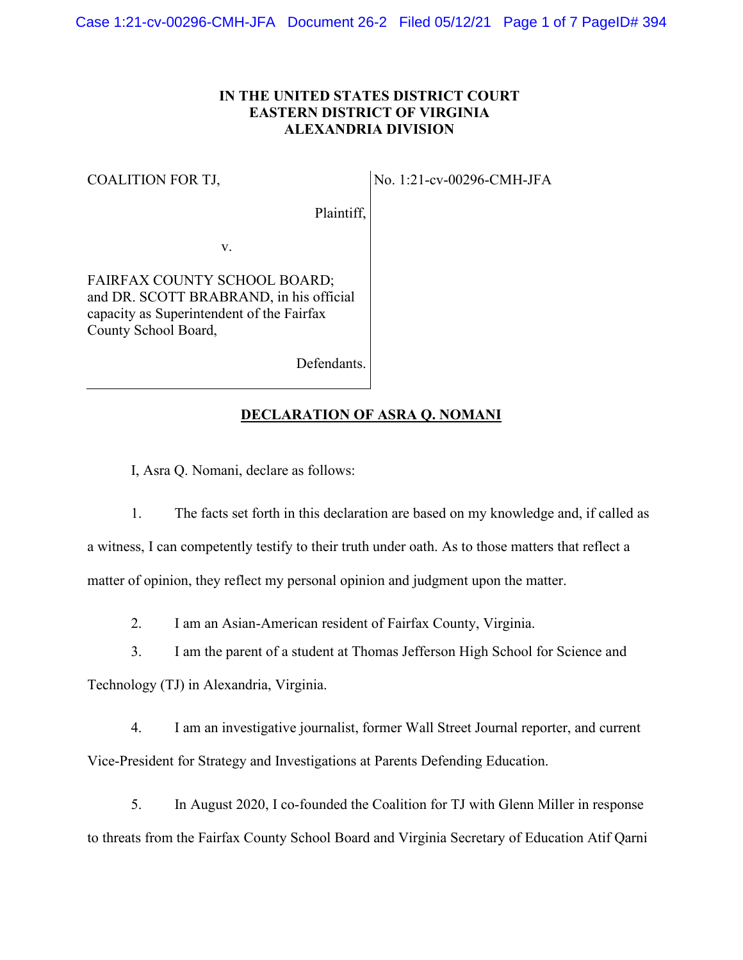# **IN THE UNITED STATES DISTRICT COURT EASTERN DISTRICT OF VIRGINIA ALEXANDRIA DIVISION**

## COALITION FOR TJ,

No. 1:21-cv-00296-CMH-JFA

Plaintiff,

v.

FAIRFAX COUNTY SCHOOL BOARD; and DR. SCOTT BRABRAND, in his official capacity as Superintendent of the Fairfax County School Board,

Defendants.

# **DECLARATION OF ASRA Q. NOMANI**

I, Asra Q. Nomani, declare as follows:

1. The facts set forth in this declaration are based on my knowledge and, if called as a witness, I can competently testify to their truth under oath. As to those matters that reflect a matter of opinion, they reflect my personal opinion and judgment upon the matter.

2. I am an Asian-American resident of Fairfax County, Virginia.

3. I am the parent of a student at Thomas Jefferson High School for Science and

Technology (TJ) in Alexandria, Virginia.

4. I am an investigative journalist, former Wall Street Journal reporter, and current Vice-President for Strategy and Investigations at Parents Defending Education.

5. In August 2020, I co-founded the Coalition for TJ with Glenn Miller in response to threats from the Fairfax County School Board and Virginia Secretary of Education Atif Qarni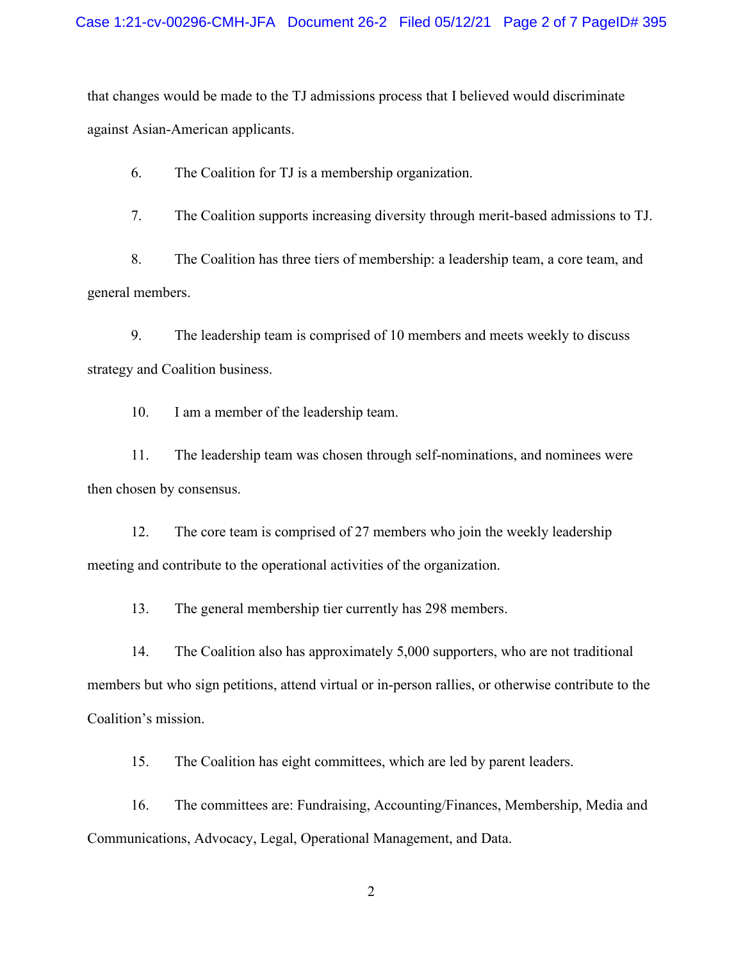that changes would be made to the TJ admissions process that I believed would discriminate against Asian-American applicants.

6. The Coalition for TJ is a membership organization.

7. The Coalition supports increasing diversity through merit-based admissions to TJ.

8. The Coalition has three tiers of membership: a leadership team, a core team, and general members.

9. The leadership team is comprised of 10 members and meets weekly to discuss strategy and Coalition business.

10. I am a member of the leadership team.

11. The leadership team was chosen through self-nominations, and nominees were then chosen by consensus.

12. The core team is comprised of 27 members who join the weekly leadership meeting and contribute to the operational activities of the organization.

13. The general membership tier currently has 298 members.

14. The Coalition also has approximately 5,000 supporters, who are not traditional members but who sign petitions, attend virtual or in-person rallies, or otherwise contribute to the Coalition's mission.

15. The Coalition has eight committees, which are led by parent leaders.

16. The committees are: Fundraising, Accounting/Finances, Membership, Media and Communications, Advocacy, Legal, Operational Management, and Data.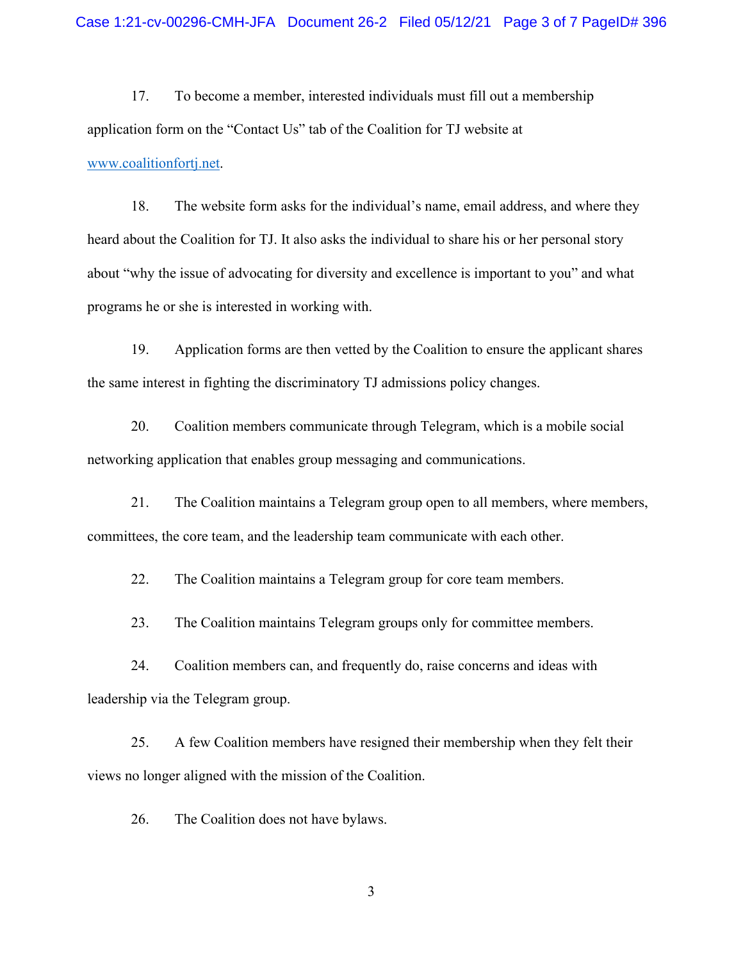17. To become a member, interested individuals must fill out a membership application form on the "Contact Us" tab of the Coalition for TJ website at [www.coalitionfortj.net.](http://www.coalitionfortj.net/)

18. The website form asks for the individual's name, email address, and where they heard about the Coalition for TJ. It also asks the individual to share his or her personal story about "why the issue of advocating for diversity and excellence is important to you" and what programs he or she is interested in working with.

19. Application forms are then vetted by the Coalition to ensure the applicant shares the same interest in fighting the discriminatory TJ admissions policy changes.

20. Coalition members communicate through Telegram, which is a mobile social networking application that enables group messaging and communications.

21. The Coalition maintains a Telegram group open to all members, where members, committees, the core team, and the leadership team communicate with each other.

22. The Coalition maintains a Telegram group for core team members.

23. The Coalition maintains Telegram groups only for committee members.

24. Coalition members can, and frequently do, raise concerns and ideas with leadership via the Telegram group.

25. A few Coalition members have resigned their membership when they felt their views no longer aligned with the mission of the Coalition.

26. The Coalition does not have bylaws.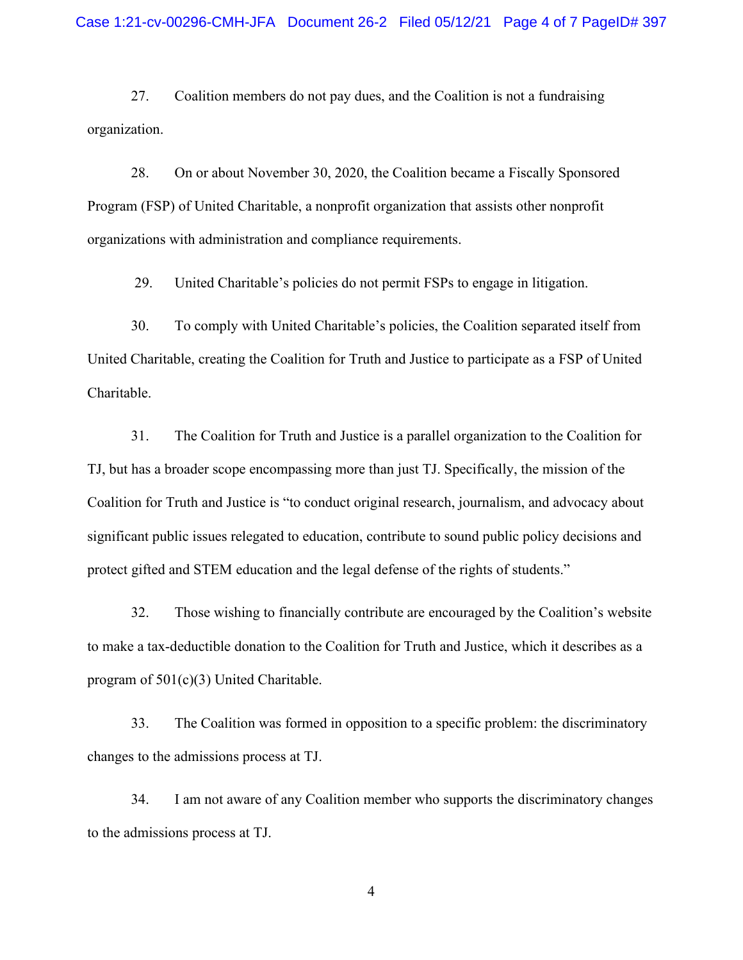27. Coalition members do not pay dues, and the Coalition is not a fundraising organization.

28. On or about November 30, 2020, the Coalition became a Fiscally Sponsored Program (FSP) of United Charitable, a nonprofit organization that assists other nonprofit organizations with administration and compliance requirements.

29. United Charitable's policies do not permit FSPs to engage in litigation.

30. To comply with United Charitable's policies, the Coalition separated itself from United Charitable, creating the Coalition for Truth and Justice to participate as a FSP of United Charitable.

31. The Coalition for Truth and Justice is a parallel organization to the Coalition for TJ, but has a broader scope encompassing more than just TJ. Specifically, the mission of the Coalition for Truth and Justice is "to conduct original research, journalism, and advocacy about significant public issues relegated to education, contribute to sound public policy decisions and protect gifted and STEM education and the legal defense of the rights of students."

32. Those wishing to financially contribute are encouraged by the Coalition's website to make a tax-deductible donation to the Coalition for Truth and Justice, which it describes as a program of 501(c)(3) United Charitable.

33. The Coalition was formed in opposition to a specific problem: the discriminatory changes to the admissions process at TJ.

34. I am not aware of any Coalition member who supports the discriminatory changes to the admissions process at TJ.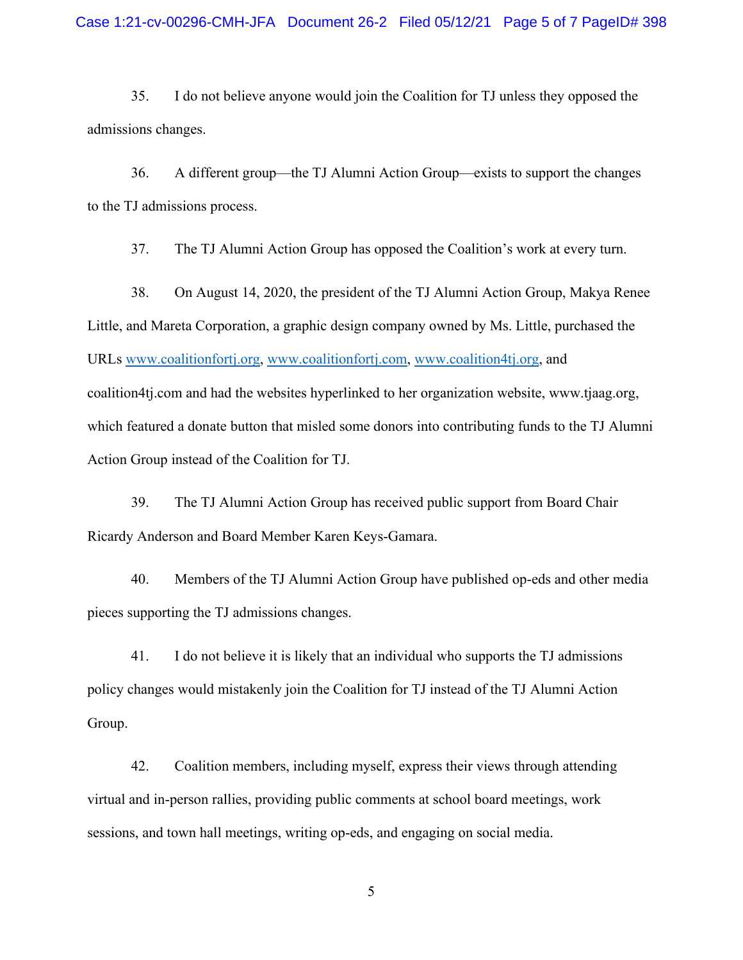35. I do not believe anyone would join the Coalition for TJ unless they opposed the admissions changes.

36. A different group—the TJ Alumni Action Group—exists to support the changes to the TJ admissions process.

37. The TJ Alumni Action Group has opposed the Coalition's work at every turn.

38. On August 14, 2020, the president of the TJ Alumni Action Group, Makya Renee Little, and Mareta Corporation, a graphic design company owned by Ms. Little, purchased the URLs [www.coalitionfortj.org,](http://www.coalitionfortj.org/) [www.coalitionfortj.com,](http://www.coalitionfortj.com/) [www.coalition4tj.org,](http://www.coalition4tj.org/) and coalition4tj.com and had the websites hyperlinked to her organization website, www.tjaag.org, which featured a donate button that misled some donors into contributing funds to the TJ Alumni Action Group instead of the Coalition for TJ.

39. The TJ Alumni Action Group has received public support from Board Chair Ricardy Anderson and Board Member Karen Keys-Gamara.

40. Members of the TJ Alumni Action Group have published op-eds and other media pieces supporting the TJ admissions changes.

41. I do not believe it is likely that an individual who supports the TJ admissions policy changes would mistakenly join the Coalition for TJ instead of the TJ Alumni Action Group.

42. Coalition members, including myself, express their views through attending virtual and in-person rallies, providing public comments at school board meetings, work sessions, and town hall meetings, writing op-eds, and engaging on social media.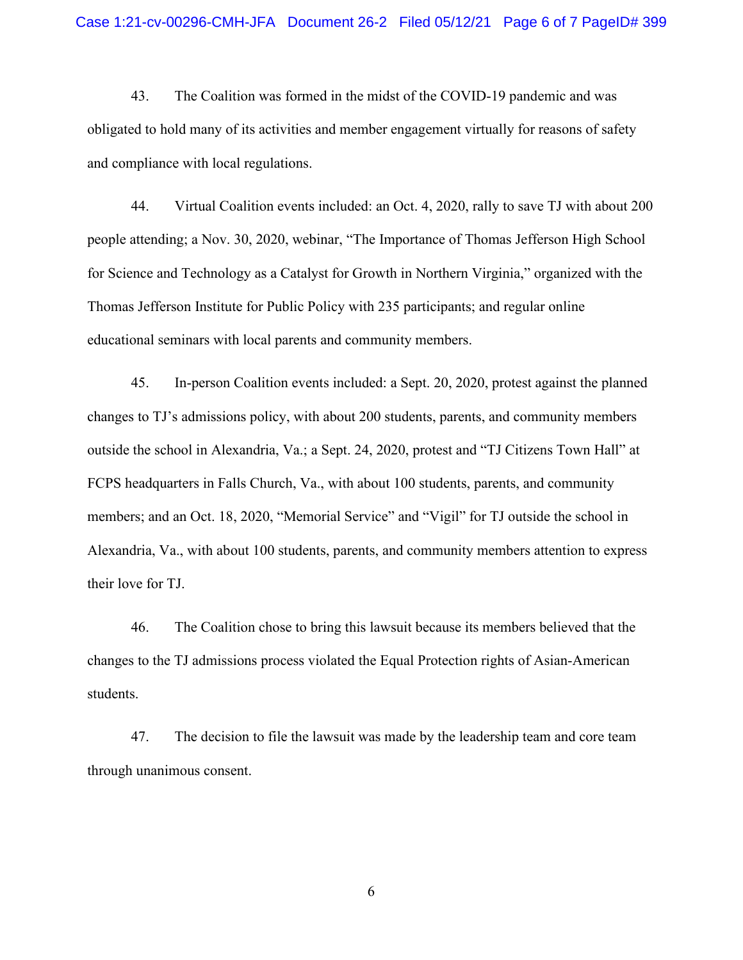43. The Coalition was formed in the midst of the COVID-19 pandemic and was obligated to hold many of its activities and member engagement virtually for reasons of safety and compliance with local regulations.

44. Virtual Coalition events included: an Oct. 4, 2020, rally to save TJ with about 200 people attending; a Nov. 30, 2020, webinar, "The Importance of Thomas Jefferson High School for Science and Technology as a Catalyst for Growth in Northern Virginia," organized with the Thomas Jefferson Institute for Public Policy with 235 participants; and regular online educational seminars with local parents and community members.

45. In-person Coalition events included: a Sept. 20, 2020, protest against the planned changes to TJ's admissions policy, with about 200 students, parents, and community members outside the school in Alexandria, Va.; a Sept. 24, 2020, protest and "TJ Citizens Town Hall" at FCPS headquarters in Falls Church, Va., with about 100 students, parents, and community members; and an Oct. 18, 2020, "Memorial Service" and "Vigil" for TJ outside the school in Alexandria, Va., with about 100 students, parents, and community members attention to express their love for TJ.

46. The Coalition chose to bring this lawsuit because its members believed that the changes to the TJ admissions process violated the Equal Protection rights of Asian-American students.

47. The decision to file the lawsuit was made by the leadership team and core team through unanimous consent.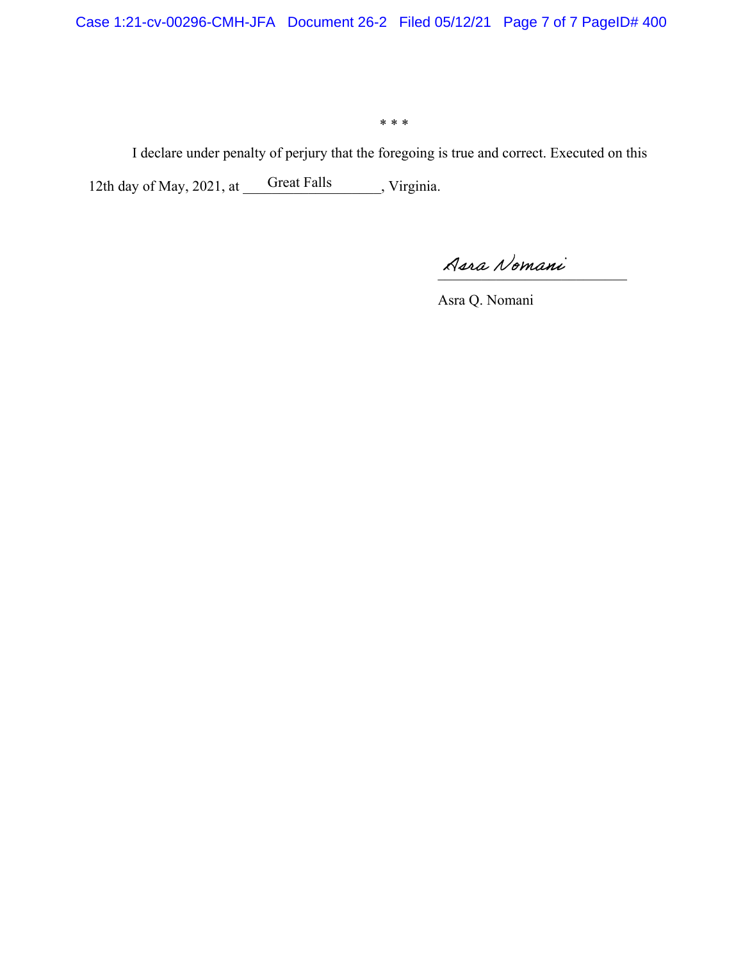\* \* \*

I declare under penalty of perjury that the foregoing is true and correct. Executed on this 12th day of May, 2021, at Great Falls , Virginia. Great Falls

\_\_\_\_\_\_\_\_\_\_\_\_\_\_\_\_\_\_\_\_\_\_\_\_\_\_

Asra Q. Nomani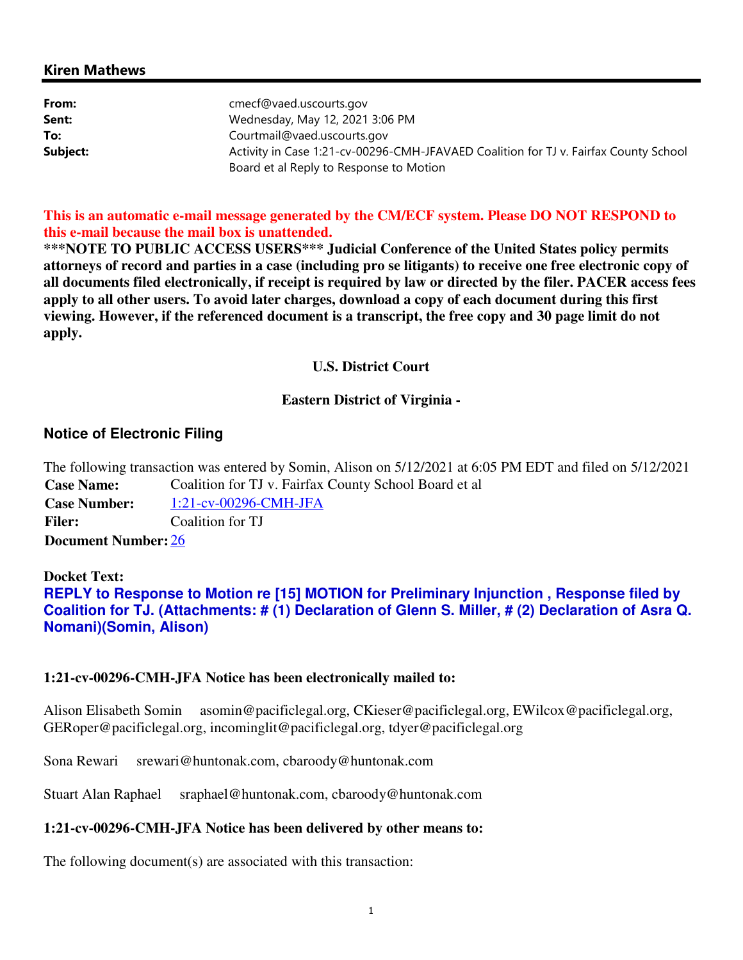# Kiren Mathews

| From:    | cmecf@vaed.uscourts.gov                                                              |
|----------|--------------------------------------------------------------------------------------|
| Sent:    | Wednesday, May 12, 2021 3:06 PM                                                      |
| To:      | Courtmail@vaed.uscourts.gov                                                          |
| Subject: | Activity in Case 1:21-cv-00296-CMH-JFAVAED Coalition for TJ v. Fairfax County School |
|          | Board et al Reply to Response to Motion                                              |

**This is an automatic e-mail message generated by the CM/ECF system. Please DO NOT RESPOND to this e-mail because the mail box is unattended.** 

**\*\*\*NOTE TO PUBLIC ACCESS USERS\*\*\* Judicial Conference of the United States policy permits attorneys of record and parties in a case (including pro se litigants) to receive one free electronic copy of all documents filed electronically, if receipt is required by law or directed by the filer. PACER access fees apply to all other users. To avoid later charges, download a copy of each document during this first viewing. However, if the referenced document is a transcript, the free copy and 30 page limit do not apply.**

## **U.S. District Court**

## **Eastern District of Virginia -**

# **Notice of Electronic Filing**

The following transaction was entered by Somin, Alison on 5/12/2021 at 6:05 PM EDT and filed on 5/12/2021 **Case Name:** Coalition for TJ v. Fairfax County School Board et al **Case Number:** 1:21-cv-00296-CMH-JFA Filer: Coalition for TJ **Document Number:** 26

# **Docket Text: REPLY to Response to Motion re [15] MOTION for Preliminary Injunction , Response filed by Coalition for TJ. (Attachments: # (1) Declaration of Glenn S. Miller, # (2) Declaration of Asra Q. Nomani)(Somin, Alison)**

## **1:21-cv-00296-CMH-JFA Notice has been electronically mailed to:**

Alison Elisabeth Somin asomin@pacificlegal.org, CKieser@pacificlegal.org, EWilcox@pacificlegal.org, GERoper@pacificlegal.org, incominglit@pacificlegal.org, tdyer@pacificlegal.org

Sona Rewari srewari@huntonak.com, cbaroody@huntonak.com

Stuart Alan Raphael sraphael@huntonak.com, cbaroody@huntonak.com

## **1:21-cv-00296-CMH-JFA Notice has been delivered by other means to:**

The following document(s) are associated with this transaction: